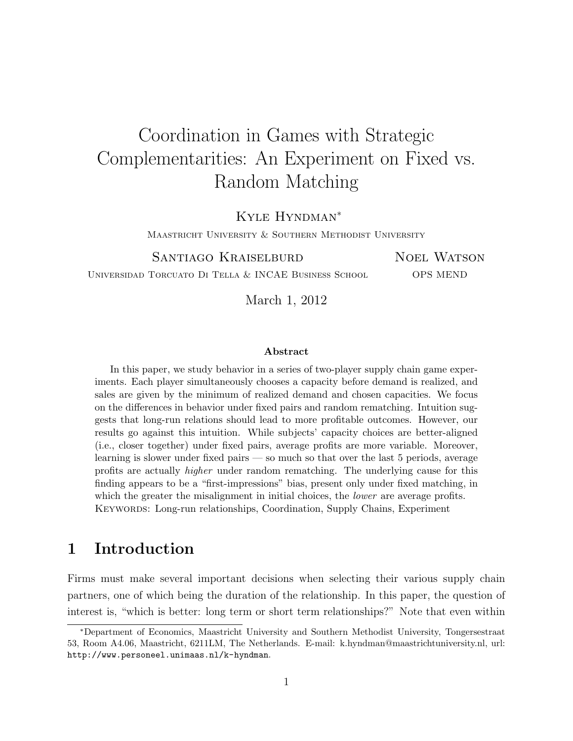# <span id="page-0-0"></span>Coordination in Games with Strategic Complementarities: An Experiment on Fixed vs. Random Matching

Kyle Hyndman<sup>∗</sup>

Maastricht University & Southern Methodist University

SANTIAGO KRAISELBURD

NOEL WATSON

Universidad Torcuato Di Tella & INCAE Business School

OPS MEND

March 1, 2012

#### Abstract

In this paper, we study behavior in a series of two-player supply chain game experiments. Each player simultaneously chooses a capacity before demand is realized, and sales are given by the minimum of realized demand and chosen capacities. We focus on the differences in behavior under fixed pairs and random rematching. Intuition suggests that long-run relations should lead to more profitable outcomes. However, our results go against this intuition. While subjects' capacity choices are better-aligned (i.e., closer together) under fixed pairs, average profits are more variable. Moreover, learning is slower under fixed pairs — so much so that over the last 5 periods, average profits are actually higher under random rematching. The underlying cause for this finding appears to be a "first-impressions" bias, present only under fixed matching, in which the greater the misalignment in initial choices, the *lower* are average profits. Keywords: Long-run relationships, Coordination, Supply Chains, Experiment

# 1 Introduction

Firms must make several important decisions when selecting their various supply chain partners, one of which being the duration of the relationship. In this paper, the question of interest is, "which is better: long term or short term relationships?" Note that even within

<sup>∗</sup>Department of Economics, Maastricht University and Southern Methodist University, Tongersestraat 53, Room A4.06, Maastricht, 6211LM, The Netherlands. E-mail: [k.hyndman@maastrichtuniversity.nl,](mailto:k.hyndman@maastrichtuniversity.nl) url: <http://www.personeel.unimaas.nl/k-hyndman>.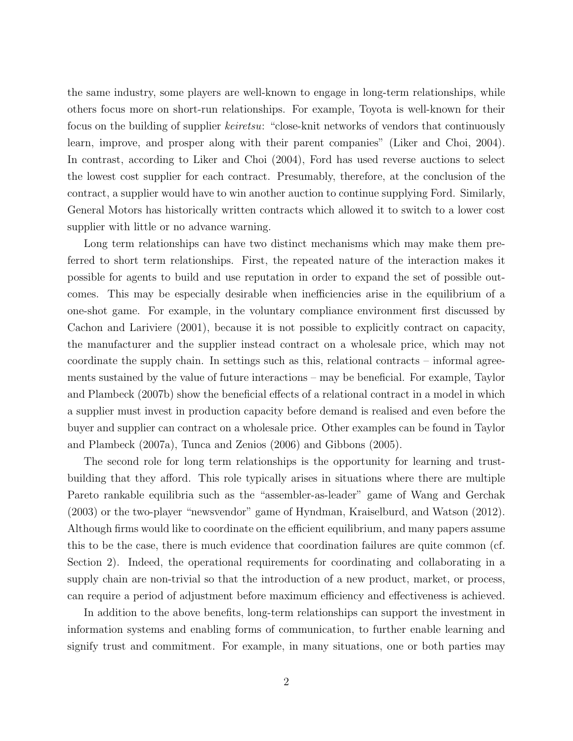the same industry, some players are well-known to engage in long-term relationships, while others focus more on short-run relationships. For example, Toyota is well-known for their focus on the building of supplier keiretsu: "close-knit networks of vendors that continuously learn, improve, and prosper along with their parent companies" [\(Liker and Choi,](#page-33-0) [2004\)](#page-33-0). In contrast, according to [Liker and Choi](#page-33-0) [\(2004\)](#page-33-0), Ford has used reverse auctions to select the lowest cost supplier for each contract. Presumably, therefore, at the conclusion of the contract, a supplier would have to win another auction to continue supplying Ford. Similarly, General Motors has historically written contracts which allowed it to switch to a lower cost supplier with little or no advance warning.

Long term relationships can have two distinct mechanisms which may make them preferred to short term relationships. First, the repeated nature of the interaction makes it possible for agents to build and use reputation in order to expand the set of possible outcomes. This may be especially desirable when inefficiencies arise in the equilibrium of a one-shot game. For example, in the voluntary compliance environment first discussed by [Cachon and Lariviere](#page-32-0) [\(2001\)](#page-32-0), because it is not possible to explicitly contract on capacity, the manufacturer and the supplier instead contract on a wholesale price, which may not coordinate the supply chain. In settings such as this, relational contracts – informal agreements sustained by the value of future interactions – may be beneficial. For example, [Taylor](#page-34-0) [and Plambeck](#page-34-0) [\(2007b\)](#page-34-0) show the beneficial effects of a relational contract in a model in which a supplier must invest in production capacity before demand is realised and even before the buyer and supplier can contract on a wholesale price. Other examples can be found in [Taylor](#page-34-1) [and Plambeck](#page-34-1) [\(2007a\)](#page-34-1), [Tunca and Zenios](#page-34-2) [\(2006\)](#page-34-2) and [Gibbons](#page-33-1) [\(2005\)](#page-33-1).

The second role for long term relationships is the opportunity for learning and trustbuilding that they afford. This role typically arises in situations where there are multiple Pareto rankable equilibria such as the "assembler-as-leader" game of [Wang and Gerchak](#page-34-3) [\(2003\)](#page-34-3) or the two-player "newsvendor" game of [Hyndman, Kraiselburd, and Watson](#page-33-2) [\(2012\)](#page-33-2). Although firms would like to coordinate on the efficient equilibrium, and many papers assume this to be the case, there is much evidence that coordination failures are quite common (cf. Section [2\)](#page-5-0). Indeed, the operational requirements for coordinating and collaborating in a supply chain are non-trivial so that the introduction of a new product, market, or process, can require a period of adjustment before maximum efficiency and effectiveness is achieved.

In addition to the above benefits, long-term relationships can support the investment in information systems and enabling forms of communication, to further enable learning and signify trust and commitment. For example, in many situations, one or both parties may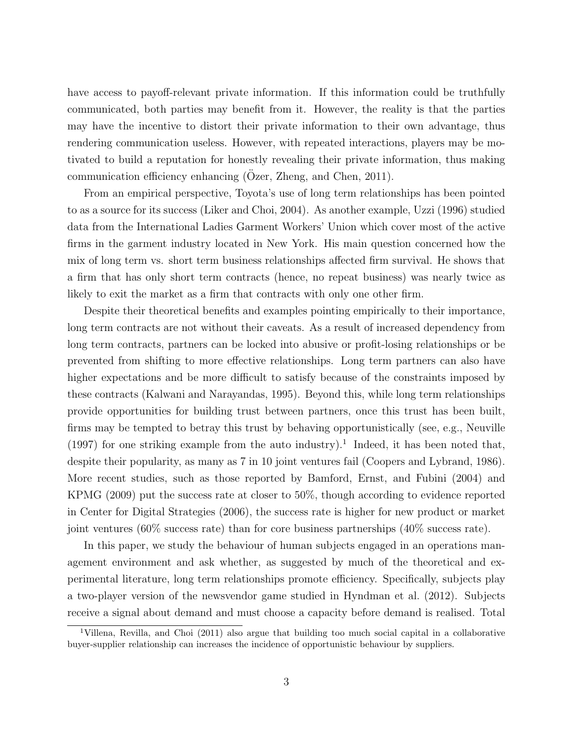have access to payoff-relevant private information. If this information could be truthfully communicated, both parties may benefit from it. However, the reality is that the parties may have the incentive to distort their private information to their own advantage, thus rendering communication useless. However, with repeated interactions, players may be motivated to build a reputation for honestly revealing their private information, thus making communication efficiency enhancing [\(Ozer, Zheng, and Chen](#page-33-3), [2011\)](#page-33-3).

From an empirical perspective, Toyota's use of long term relationships has been pointed to as a source for its success [\(Liker and Choi,](#page-33-0) [2004\)](#page-33-0). As another example, [Uzzi](#page-34-4) [\(1996\)](#page-34-4) studied data from the International Ladies Garment Workers' Union which cover most of the active firms in the garment industry located in New York. His main question concerned how the mix of long term vs. short term business relationships affected firm survival. He shows that a firm that has only short term contracts (hence, no repeat business) was nearly twice as likely to exit the market as a firm that contracts with only one other firm.

Despite their theoretical benefits and examples pointing empirically to their importance, long term contracts are not without their caveats. As a result of increased dependency from long term contracts, partners can be locked into abusive or profit-losing relationships or be prevented from shifting to more effective relationships. Long term partners can also have higher expectations and be more difficult to satisfy because of the constraints imposed by these contracts [\(Kalwani and Narayandas,](#page-33-4) [1995\)](#page-33-4). Beyond this, while long term relationships provide opportunities for building trust between partners, once this trust has been built, firms may be tempted to betray this trust by behaving opportunistically (see, e.g., [Neuville](#page-33-5) [\(1997\)](#page-33-5) for one striking example from the auto industry).<sup>[1](#page-0-0)</sup> Indeed, it has been noted that, despite their popularity, as many as 7 in 10 joint ventures fail [\(Coopers and Lybrand,](#page-32-1) [1986\)](#page-32-1). More recent studies, such as those reported by [Bamford, Ernst, and Fubini](#page-32-2) [\(2004\)](#page-32-2) and [KPMG](#page-33-6) [\(2009\)](#page-33-6) put the success rate at closer to 50%, though according to evidence reported in [Center for Digital Strategies](#page-32-3) [\(2006\)](#page-32-3), the success rate is higher for new product or market joint ventures (60% success rate) than for core business partnerships (40% success rate).

In this paper, we study the behaviour of human subjects engaged in an operations management environment and ask whether, as suggested by much of the theoretical and experimental literature, long term relationships promote efficiency. Specifically, subjects play a two-player version of the newsvendor game studied in [Hyndman et al.](#page-33-2) [\(2012\)](#page-33-2). Subjects receive a signal about demand and must choose a capacity before demand is realised. Total

<sup>1</sup>[Villena, Revilla, and Choi](#page-34-5) [\(2011\)](#page-34-5) also argue that building too much social capital in a collaborative buyer-supplier relationship can increases the incidence of opportunistic behaviour by suppliers.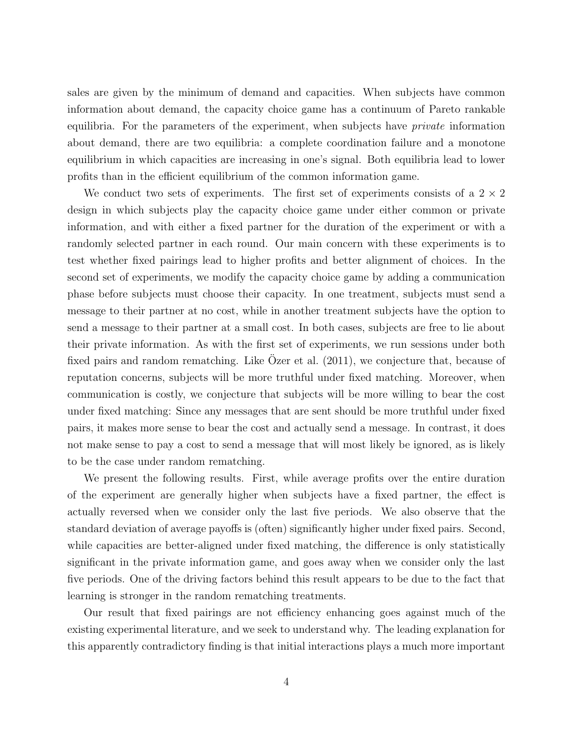sales are given by the minimum of demand and capacities. When subjects have common information about demand, the capacity choice game has a continuum of Pareto rankable equilibria. For the parameters of the experiment, when subjects have private information about demand, there are two equilibria: a complete coordination failure and a monotone equilibrium in which capacities are increasing in one's signal. Both equilibria lead to lower profits than in the efficient equilibrium of the common information game.

We conduct two sets of experiments. The first set of experiments consists of a  $2 \times 2$ design in which subjects play the capacity choice game under either common or private information, and with either a fixed partner for the duration of the experiment or with a randomly selected partner in each round. Our main concern with these experiments is to test whether fixed pairings lead to higher profits and better alignment of choices. In the second set of experiments, we modify the capacity choice game by adding a communication phase before subjects must choose their capacity. In one treatment, subjects must send a message to their partner at no cost, while in another treatment subjects have the option to send a message to their partner at a small cost. In both cases, subjects are free to lie about their private information. As with the first set of experiments, we run sessions under both fixed pairs and random rematching. Like [Ozer et al.](#page-33-3)  $(2011)$ , we conjecture that, because of reputation concerns, subjects will be more truthful under fixed matching. Moreover, when communication is costly, we conjecture that subjects will be more willing to bear the cost under fixed matching: Since any messages that are sent should be more truthful under fixed pairs, it makes more sense to bear the cost and actually send a message. In contrast, it does not make sense to pay a cost to send a message that will most likely be ignored, as is likely to be the case under random rematching.

We present the following results. First, while average profits over the entire duration of the experiment are generally higher when subjects have a fixed partner, the effect is actually reversed when we consider only the last five periods. We also observe that the standard deviation of average payoffs is (often) significantly higher under fixed pairs. Second, while capacities are better-aligned under fixed matching, the difference is only statistically significant in the private information game, and goes away when we consider only the last five periods. One of the driving factors behind this result appears to be due to the fact that learning is stronger in the random rematching treatments.

Our result that fixed pairings are not efficiency enhancing goes against much of the existing experimental literature, and we seek to understand why. The leading explanation for this apparently contradictory finding is that initial interactions plays a much more important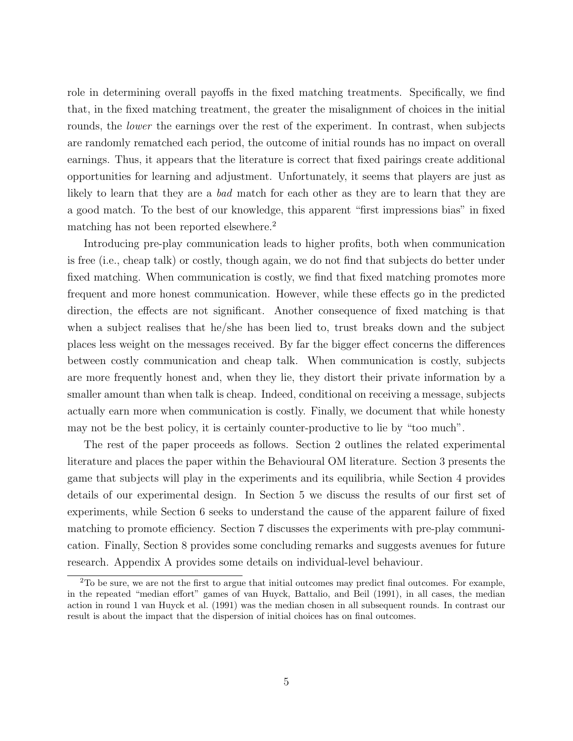role in determining overall payoffs in the fixed matching treatments. Specifically, we find that, in the fixed matching treatment, the greater the misalignment of choices in the initial rounds, the *lower* the earnings over the rest of the experiment. In contrast, when subjects are randomly rematched each period, the outcome of initial rounds has no impact on overall earnings. Thus, it appears that the literature is correct that fixed pairings create additional opportunities for learning and adjustment. Unfortunately, it seems that players are just as likely to learn that they are a bad match for each other as they are to learn that they are a good match. To the best of our knowledge, this apparent "first impressions bias" in fixed matching has not been reported elsewhere.<sup>[2](#page-0-0)</sup>

Introducing pre-play communication leads to higher profits, both when communication is free (i.e., cheap talk) or costly, though again, we do not find that subjects do better under fixed matching. When communication is costly, we find that fixed matching promotes more frequent and more honest communication. However, while these effects go in the predicted direction, the effects are not significant. Another consequence of fixed matching is that when a subject realises that he/she has been lied to, trust breaks down and the subject places less weight on the messages received. By far the bigger effect concerns the differences between costly communication and cheap talk. When communication is costly, subjects are more frequently honest and, when they lie, they distort their private information by a smaller amount than when talk is cheap. Indeed, conditional on receiving a message, subjects actually earn more when communication is costly. Finally, we document that while honesty may not be the best policy, it is certainly counter-productive to lie by "too much".

The rest of the paper proceeds as follows. Section [2](#page-5-0) outlines the related experimental literature and places the paper within the Behavioural OM literature. Section [3](#page-6-0) presents the game that subjects will play in the experiments and its equilibria, while Section [4](#page-9-0) provides details of our experimental design. In Section [5](#page-10-0) we discuss the results of our first set of experiments, while Section [6](#page-15-0) seeks to understand the cause of the apparent failure of fixed matching to promote efficiency. Section [7](#page-20-0) discusses the experiments with pre-play communication. Finally, Section [8](#page-26-0) provides some concluding remarks and suggests avenues for future research. Appendix [A](#page-28-0) provides some details on individual-level behaviour.

<sup>&</sup>lt;sup>2</sup>To be sure, we are not the first to argue that initial outcomes may predict final outcomes. For example, in the repeated "median effort" games of [van Huyck, Battalio, and Beil](#page-34-6) [\(1991\)](#page-34-6), in all cases, the median action in round 1 [van Huyck et al.](#page-34-6) [\(1991\)](#page-34-6) was the median chosen in all subsequent rounds. In contrast our result is about the impact that the dispersion of initial choices has on final outcomes.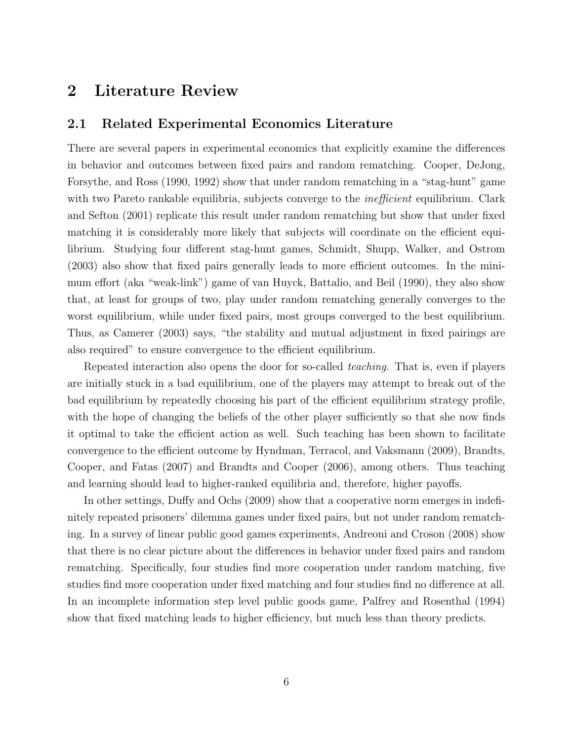# <span id="page-5-0"></span>2 Literature Review

### 2.1 Related Experimental Economics Literature

There are several papers in experimental economics that explicitly examine the differences in behavior and outcomes between fixed pairs and random rematching. [Cooper, DeJong,](#page-32-4) [Forsythe, and Ross](#page-32-4) [\(1990,](#page-32-4) [1992\)](#page-32-5) show that under random rematching in a "stag-hunt" game with two Pareto rankable equilibria, subjects converge to the *inefficient* equilibrium. [Clark](#page-32-6) [and Sefton](#page-32-6) [\(2001\)](#page-32-6) replicate this result under random rematching but show that under fixed matching it is considerably more likely that subjects will coordinate on the efficient equilibrium. Studying four different stag-hunt games, [Schmidt, Shupp, Walker, and Ostrom](#page-33-7) [\(2003\)](#page-33-7) also show that fixed pairs generally leads to more efficient outcomes. In the minimum effort (aka "weak-link") game of [van Huyck, Battalio, and Beil](#page-34-7) [\(1990\)](#page-34-7), they also show that, at least for groups of two, play under random rematching generally converges to the worst equilibrium, while under fixed pairs, most groups converged to the best equilibrium. Thus, as [Camerer](#page-32-7) [\(2003\)](#page-32-7) says, "the stability and mutual adjustment in fixed pairings are also required" to ensure convergence to the efficient equilibrium.

Repeated interaction also opens the door for so-called *teaching*. That is, even if players are initially stuck in a bad equilibrium, one of the players may attempt to break out of the bad equilibrium by repeatedly choosing his part of the efficient equilibrium strategy profile, with the hope of changing the beliefs of the other player sufficiently so that she now finds it optimal to take the efficient action as well. Such teaching has been shown to facilitate convergence to the efficient outcome by [Hyndman, Terracol, and Vaksmann](#page-33-8) [\(2009\)](#page-33-8), [Brandts,](#page-32-8) [Cooper, and Fatas](#page-32-8) [\(2007\)](#page-32-8) and [Brandts and Cooper](#page-32-9) [\(2006\)](#page-32-9), among others. Thus teaching and learning should lead to higher-ranked equilibria and, therefore, higher payoffs.

In other settings, [Duffy and Ochs](#page-33-9) [\(2009\)](#page-33-9) show that a cooperative norm emerges in indefinitely repeated prisoners' dilemma games under fixed pairs, but not under random rematching. In a survey of linear public good games experiments, [Andreoni and Croson](#page-32-10) [\(2008\)](#page-32-10) show that there is no clear picture about the differences in behavior under fixed pairs and random rematching. Specifically, four studies find more cooperation under random matching, five studies find more cooperation under fixed matching and four studies find no difference at all. In an incomplete information step level public goods game, [Palfrey and Rosenthal](#page-33-10) [\(1994\)](#page-33-10) show that fixed matching leads to higher efficiency, but much less than theory predicts.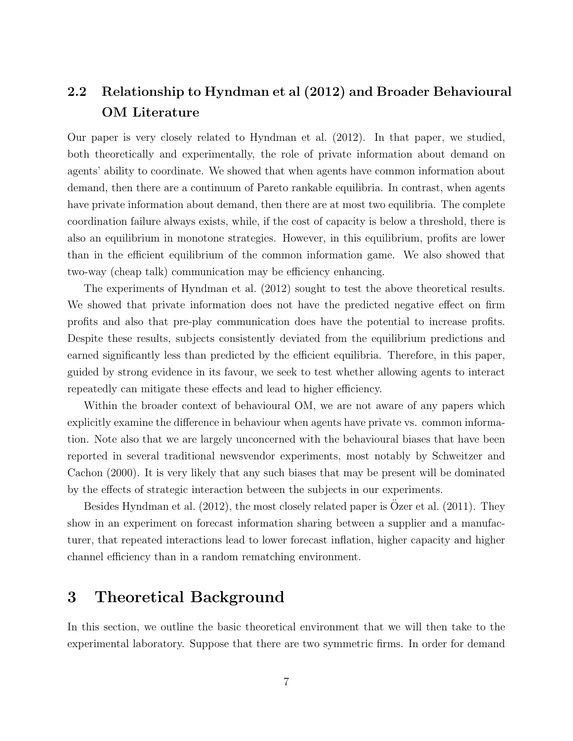# 2.2 Relationship to Hyndman et al (2012) and Broader Behavioural OM Literature

Our paper is very closely related to [Hyndman et al.](#page-33-2) [\(2012\)](#page-33-2). In that paper, we studied, both theoretically and experimentally, the role of private information about demand on agents' ability to coordinate. We showed that when agents have common information about demand, then there are a continuum of Pareto rankable equilibria. In contrast, when agents have private information about demand, then there are at most two equilibria. The complete coordination failure always exists, while, if the cost of capacity is below a threshold, there is also an equilibrium in monotone strategies. However, in this equilibrium, profits are lower than in the efficient equilibrium of the common information game. We also showed that two-way (cheap talk) communication may be efficiency enhancing.

The experiments of [Hyndman et al.](#page-33-2) [\(2012\)](#page-33-2) sought to test the above theoretical results. We showed that private information does not have the predicted negative effect on firm profits and also that pre-play communication does have the potential to increase profits. Despite these results, subjects consistently deviated from the equilibrium predictions and earned significantly less than predicted by the efficient equilibria. Therefore, in this paper, guided by strong evidence in its favour, we seek to test whether allowing agents to interact repeatedly can mitigate these effects and lead to higher efficiency.

Within the broader context of behavioural OM, we are not aware of any papers which explicitly examine the difference in behaviour when agents have private vs. common information. Note also that we are largely unconcerned with the behavioural biases that have been reported in several traditional newsvendor experiments, most notably by [Schweitzer and](#page-33-11) [Cachon](#page-33-11) [\(2000\)](#page-33-11). It is very likely that any such biases that may be present will be dominated by the effects of strategic interaction between the subjects in our experiments.

Besides [Hyndman et al.](#page-33-2)  $(2012)$ , the most closely related paper is [Ozer et al.](#page-33-3)  $(2011)$ . They show in an experiment on forecast information sharing between a supplier and a manufacturer, that repeated interactions lead to lower forecast inflation, higher capacity and higher channel efficiency than in a random rematching environment.

# <span id="page-6-0"></span>3 Theoretical Background

In this section, we outline the basic theoretical environment that we will then take to the experimental laboratory. Suppose that there are two symmetric firms. In order for demand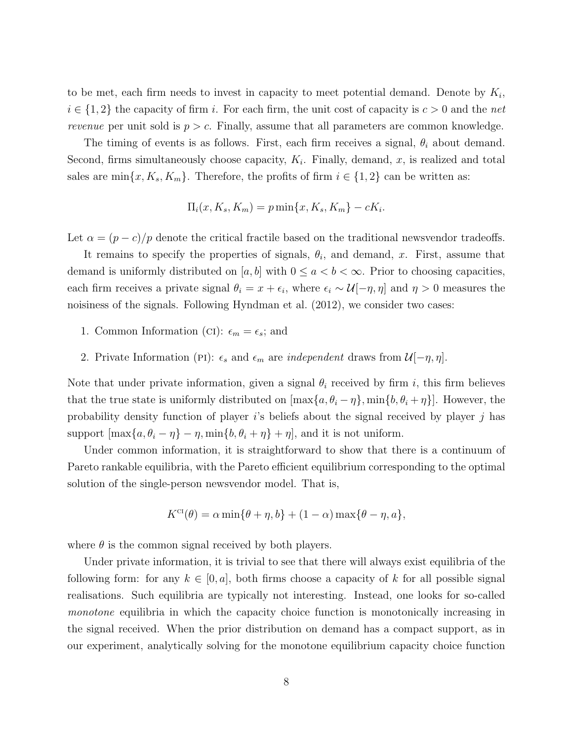to be met, each firm needs to invest in capacity to meet potential demand. Denote by  $K_i$ ,  $i \in \{1,2\}$  the capacity of firm i. For each firm, the unit cost of capacity is  $c > 0$  and the net *revenue* per unit sold is  $p > c$ . Finally, assume that all parameters are common knowledge.

The timing of events is as follows. First, each firm receives a signal,  $\theta_i$  about demand. Second, firms simultaneously choose capacity,  $K_i$ . Finally, demand, x, is realized and total sales are  $\min\{x, K_s, K_m\}$ . Therefore, the profits of firm  $i \in \{1, 2\}$  can be written as:

$$
\Pi_i(x, K_s, K_m) = p \min\{x, K_s, K_m\} - cK_i.
$$

Let  $\alpha = (p - c)/p$  denote the critical fractile based on the traditional newsvendor tradeoffs.

It remains to specify the properties of signals,  $\theta_i$ , and demand, x. First, assume that demand is uniformly distributed on [a, b] with  $0 \le a < b < \infty$ . Prior to choosing capacities, each firm receives a private signal  $\theta_i = x + \epsilon_i$ , where  $\epsilon_i \sim \mathcal{U}[-\eta, \eta]$  and  $\eta > 0$  measures the noisiness of the signals. Following [Hyndman et al.](#page-33-2) [\(2012\)](#page-33-2), we consider two cases:

- 1. Common Information (CI):  $\epsilon_m = \epsilon_s$ ; and
- 2. Private Information (PI):  $\epsilon_s$  and  $\epsilon_m$  are *independent* draws from  $\mathcal{U}[-\eta, \eta]$ .

Note that under private information, given a signal  $\theta_i$  received by firm i, this firm believes that the true state is uniformly distributed on  $[\max\{a, \theta_i - \eta\}, \min\{b, \theta_i + \eta\}]$ . However, the probability density function of player i's beliefs about the signal received by player j has support  $[\max\{a, \theta_i - \eta\} - \eta, \min\{b, \theta_i + \eta\} + \eta]$ , and it is not uniform.

Under common information, it is straightforward to show that there is a continuum of Pareto rankable equilibria, with the Pareto efficient equilibrium corresponding to the optimal solution of the single-person newsvendor model. That is,

$$
K^{\text{CI}}(\theta) = \alpha \min\{\theta + \eta, b\} + (1 - \alpha) \max\{\theta - \eta, a\},\
$$

where  $\theta$  is the common signal received by both players.

Under private information, it is trivial to see that there will always exist equilibria of the following form: for any  $k \in [0, a]$ , both firms choose a capacity of k for all possible signal realisations. Such equilibria are typically not interesting. Instead, one looks for so-called monotone equilibria in which the capacity choice function is monotonically increasing in the signal received. When the prior distribution on demand has a compact support, as in our experiment, analytically solving for the monotone equilibrium capacity choice function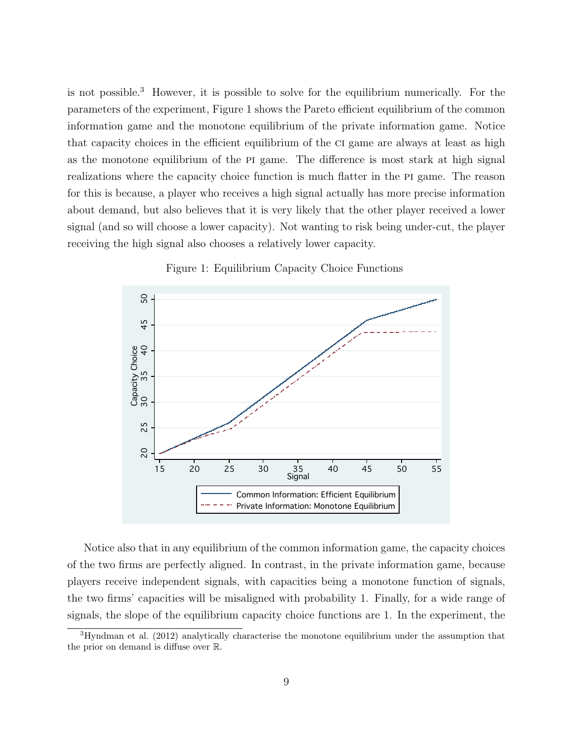is not possible.[3](#page-0-0) However, it is possible to solve for the equilibrium numerically. For the parameters of the experiment, Figure [1](#page-8-0) shows the Pareto efficient equilibrium of the common information game and the monotone equilibrium of the private information game. Notice that capacity choices in the efficient equilibrium of the ci game are always at least as high as the monotone equilibrium of the pi game. The difference is most stark at high signal realizations where the capacity choice function is much flatter in the pi game. The reason for this is because, a player who receives a high signal actually has more precise information about demand, but also believes that it is very likely that the other player received a lower signal (and so will choose a lower capacity). Not wanting to risk being under-cut, the player receiving the high signal also chooses a relatively lower capacity.

<span id="page-8-0"></span>

Figure 1: Equilibrium Capacity Choice Functions

Notice also that in any equilibrium of the common information game, the capacity choices of the two firms are perfectly aligned. In contrast, in the private information game, because players receive independent signals, with capacities being a monotone function of signals, the two firms' capacities will be misaligned with probability 1. Finally, for a wide range of signals, the slope of the equilibrium capacity choice functions are 1. In the experiment, the

<sup>3</sup>[Hyndman et al.](#page-33-2) [\(2012\)](#page-33-2) analytically characterise the monotone equilibrium under the assumption that the prior on demand is diffuse over R.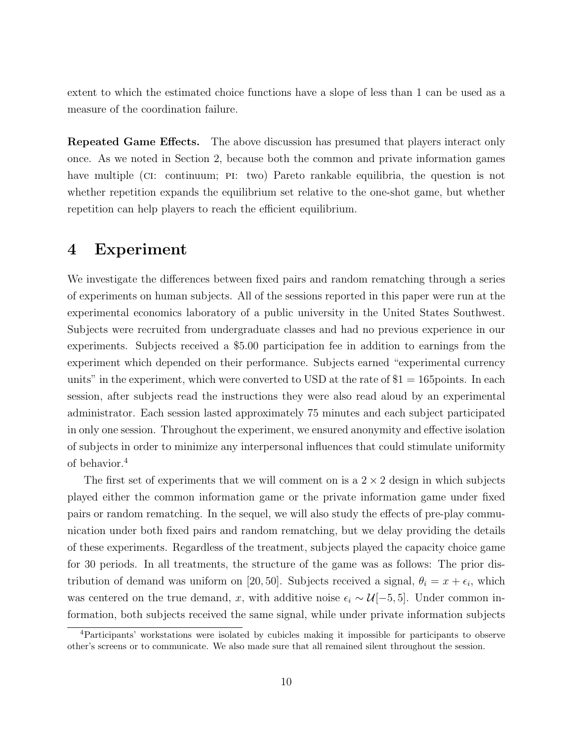extent to which the estimated choice functions have a slope of less than 1 can be used as a measure of the coordination failure.

Repeated Game Effects. The above discussion has presumed that players interact only once. As we noted in Section [2,](#page-5-0) because both the common and private information games have multiple (CI: continuum; PI: two) Pareto rankable equilibria, the question is not whether repetition expands the equilibrium set relative to the one-shot game, but whether repetition can help players to reach the efficient equilibrium.

### <span id="page-9-0"></span>4 Experiment

We investigate the differences between fixed pairs and random rematching through a series of experiments on human subjects. All of the sessions reported in this paper were run at the experimental economics laboratory of a public university in the United States Southwest. Subjects were recruited from undergraduate classes and had no previous experience in our experiments. Subjects received a \$5.00 participation fee in addition to earnings from the experiment which depended on their performance. Subjects earned "experimental currency units" in the experiment, which were converted to USD at the rate of  $$1 = 165$  points. In each session, after subjects read the instructions they were also read aloud by an experimental administrator. Each session lasted approximately 75 minutes and each subject participated in only one session. Throughout the experiment, we ensured anonymity and effective isolation of subjects in order to minimize any interpersonal influences that could stimulate uniformity of behavior.[4](#page-0-0)

The first set of experiments that we will comment on is a  $2 \times 2$  design in which subjects played either the common information game or the private information game under fixed pairs or random rematching. In the sequel, we will also study the effects of pre-play communication under both fixed pairs and random rematching, but we delay providing the details of these experiments. Regardless of the treatment, subjects played the capacity choice game for 30 periods. In all treatments, the structure of the game was as follows: The prior distribution of demand was uniform on [20, 50]. Subjects received a signal,  $\theta_i = x + \epsilon_i$ , which was centered on the true demand, x, with additive noise  $\epsilon_i \sim \mathcal{U}[-5, 5]$ . Under common information, both subjects received the same signal, while under private information subjects

<sup>4</sup>Participants' workstations were isolated by cubicles making it impossible for participants to observe other's screens or to communicate. We also made sure that all remained silent throughout the session.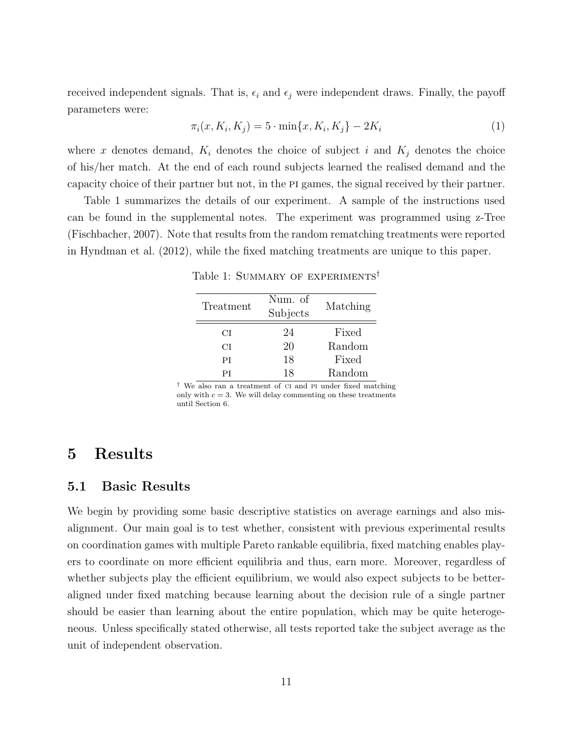received independent signals. That is,  $\epsilon_i$  and  $\epsilon_j$  were independent draws. Finally, the payoff parameters were:

$$
\pi_i(x, K_i, K_j) = 5 \cdot \min\{x, K_i, K_j\} - 2K_i
$$
\n(1)

where x denotes demand,  $K_i$  denotes the choice of subject i and  $K_j$  denotes the choice of his/her match. At the end of each round subjects learned the realised demand and the capacity choice of their partner but not, in the pi games, the signal received by their partner.

<span id="page-10-1"></span>Table [1](#page-10-1) summarizes the details of our experiment. A sample of the instructions used can be found in the supplemental notes. The experiment was programmed using z-Tree [\(Fischbacher,](#page-33-12) [2007\)](#page-33-12). Note that results from the random rematching treatments were reported in [Hyndman et al.](#page-33-2) [\(2012\)](#page-33-2), while the fixed matching treatments are unique to this paper.

Table 1: SUMMARY OF EXPERIMENTS<sup>†</sup>

| Treatment | Num. of<br>Subjects | Matching |
|-----------|---------------------|----------|
| СI        | 24                  | Fixed    |
| СI        | 20                  | Random   |
| РI        | 18                  | Fixed    |
| РI        | 18                  | Random   |

† We also ran a treatment of ci and pi under fixed matching only with  $c = 3$ . We will delay commenting on these treatments until Section [6.](#page-15-0)

# <span id="page-10-0"></span>5 Results

### 5.1 Basic Results

We begin by providing some basic descriptive statistics on average earnings and also misalignment. Our main goal is to test whether, consistent with previous experimental results on coordination games with multiple Pareto rankable equilibria, fixed matching enables players to coordinate on more efficient equilibria and thus, earn more. Moreover, regardless of whether subjects play the efficient equilibrium, we would also expect subjects to be betteraligned under fixed matching because learning about the decision rule of a single partner should be easier than learning about the entire population, which may be quite heterogeneous. Unless specifically stated otherwise, all tests reported take the subject average as the unit of independent observation.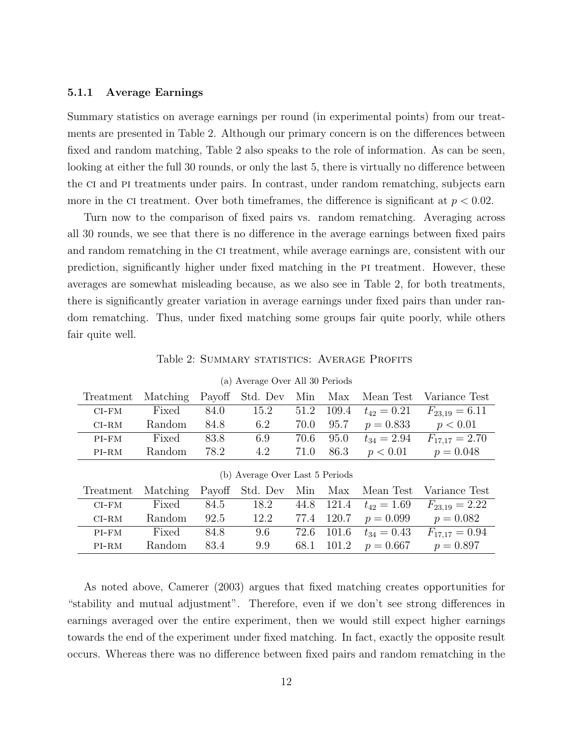### 5.1.1 Average Earnings

Summary statistics on average earnings per round (in experimental points) from our treatments are presented in Table [2.](#page-11-0) Although our primary concern is on the differences between fixed and random matching, Table [2](#page-11-0) also speaks to the role of information. As can be seen, looking at either the full 30 rounds, or only the last 5, there is virtually no difference between the ci and pi treatments under pairs. In contrast, under random rematching, subjects earn more in the CI treatment. Over both timeframes, the difference is significant at  $p < 0.02$ .

Turn now to the comparison of fixed pairs vs. random rematching. Averaging across all 30 rounds, we see that there is no difference in the average earnings between fixed pairs and random rematching in the ci treatment, while average earnings are, consistent with our prediction, significantly higher under fixed matching in the pi treatment. However, these averages are somewhat misleading because, as we also see in Table [2,](#page-11-0) for both treatments, there is significantly greater variation in average earnings under fixed pairs than under random rematching. Thus, under fixed matching some groups fair quite poorly, while others fair quite well.

<span id="page-11-0"></span>

|         |        |      |      |      |      |                             | Treatment Matching Payoff Std. Dev Min Max Mean Test Variance Test |
|---------|--------|------|------|------|------|-----------------------------|--------------------------------------------------------------------|
| $CI-FM$ | Fixed  | 84.0 | 15.2 |      |      |                             | 51.2 109.4 $t_{42} = 0.21$ $F_{23,19} = 6.11$                      |
| $CI-RM$ | Random | 84.8 | 6.2  | 70.0 |      | 95.7 $p = 0.833$ $p < 0.01$ |                                                                    |
| $PI-FM$ | Fixed  | 83.8 | 6.9  | 70.6 | 95.0 | $t_{34} = 2.94$             | $F_{17,17} = 2.70$                                                 |
| $PI-RM$ | Random | 78.2 | 4.2  | 71.0 | 86.3 | p < 0.01                    | $p = 0.048$                                                        |
|         |        |      |      |      |      |                             |                                                                    |

(a) Average Over All 30 Periods

|         |        |      |      |  |                            | Treatment Matching Payoff Std. Dev Min Max Mean Test Variance Test |
|---------|--------|------|------|--|----------------------------|--------------------------------------------------------------------|
| $CI-FM$ | Fixed  | 84.5 | 18.2 |  | 44.8 121.4 $t_{42} = 1.69$ | $F_{23,19} = 2.22$                                                 |
| $CI-RM$ | Random | 92.5 | 12.2 |  | 77.4 120.7 $p = 0.099$     | $p = 0.082$                                                        |
| $PI-FM$ | Fixed  | 84.8 | 9.6  |  | 72.6 101.6 $t_{34} = 0.43$ | $F_{17,17} = 0.94$                                                 |
| $PI-RM$ | Random | 83.4 | 9.9  |  | 68.1 101.2 $p = 0.667$     | $p = 0.897$                                                        |

(b) Average Over Last 5 Periods

As noted above, [Camerer](#page-32-7) [\(2003\)](#page-32-7) argues that fixed matching creates opportunities for "stability and mutual adjustment". Therefore, even if we don't see strong differences in earnings averaged over the entire experiment, then we would still expect higher earnings towards the end of the experiment under fixed matching. In fact, exactly the opposite result occurs. Whereas there was no difference between fixed pairs and random rematching in the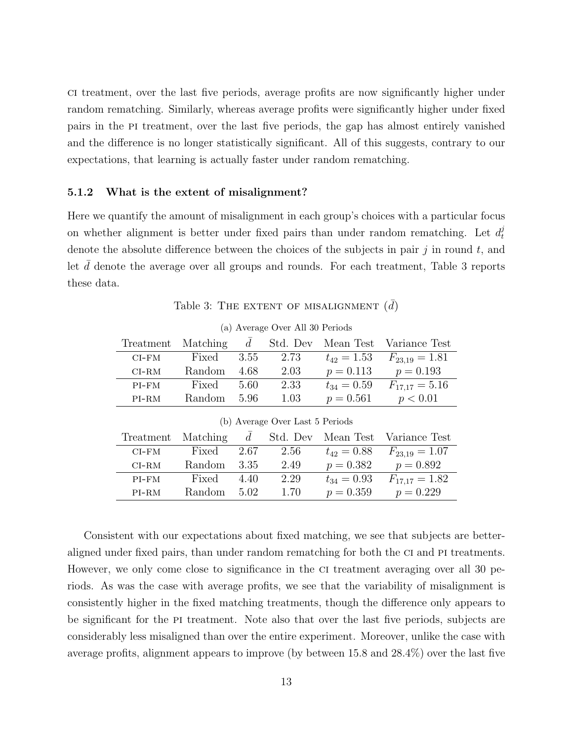ci treatment, over the last five periods, average profits are now significantly higher under random rematching. Similarly, whereas average profits were significantly higher under fixed pairs in the pi treatment, over the last five periods, the gap has almost entirely vanished and the difference is no longer statistically significant. All of this suggests, contrary to our expectations, that learning is actually faster under random rematching.

#### 5.1.2 What is the extent of misalignment?

Here we quantify the amount of misalignment in each group's choices with a particular focus on whether alignment is better under fixed pairs than under random rematching. Let  $d_t^j$ t denote the absolute difference between the choices of the subjects in pair  $j$  in round  $t$ , and let  $d$  denote the average over all groups and rounds. For each treatment, Table [3](#page-12-0) reports these data.

|  |  | Table 3: THE EXTENT OF MISALIGNMENT $(d)$ |  |
|--|--|-------------------------------------------|--|
|  |  |                                           |  |

<span id="page-12-0"></span>

| Treatment                       | Matching | $d_{\cdot}$ | Std. Dev |                 | Mean Test Variance Test          |  |  |
|---------------------------------|----------|-------------|----------|-----------------|----------------------------------|--|--|
| $CI-FM$                         | Fixed    | 3.55        | 2.73     | $t_{42} = 1.53$ | $F_{23.19} = 1.81$               |  |  |
| $CI-RM$                         | Random   | 4.68        | 2.03     | $p = 0.113$     | $p = 0.193$                      |  |  |
| $PI-FM$                         | Fixed    | 5.60        | 2.33     | $t_{34} = 0.59$ | $F_{17,17} = 5.16$               |  |  |
| $PI-RM$                         | Random   | 5.96        | 1.03     | $p = 0.561$     | p < 0.01                         |  |  |
| (b) Average Over Last 5 Periods |          |             |          |                 |                                  |  |  |
| Treatment                       | Matching | d           |          |                 | Std. Dev Mean Test Variance Test |  |  |

CI-FM Fixed 2.67 2.56  $t_{42} = 0.88$   $F_{23,19} = 1.07$ ci-RM Random 3.35 2.49  $p = 0.382$   $p = 0.892$ PI-FM Fixed  $4.40$   $2.29$   $t_{34} = 0.93$   $F_{17,17} = 1.82$ PI-RM Random 5.02 1.70  $p = 0.359$   $p = 0.229$ 

(a) Average Over All 30 Periods

Consistent with our expectations about fixed matching, we see that subjects are betteraligned under fixed pairs, than under random rematching for both the ci and pi treatments. However, we only come close to significance in the CI treatment averaging over all 30 periods. As was the case with average profits, we see that the variability of misalignment is consistently higher in the fixed matching treatments, though the difference only appears to be significant for the pi treatment. Note also that over the last five periods, subjects are considerably less misaligned than over the entire experiment. Moreover, unlike the case with average profits, alignment appears to improve (by between 15.8 and 28.4%) over the last five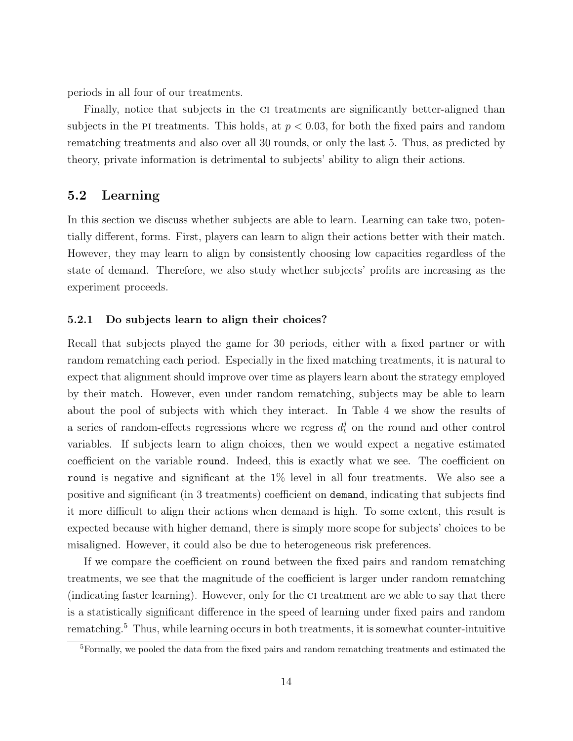periods in all four of our treatments.

Finally, notice that subjects in the CI treatments are significantly better-aligned than subjects in the PI treatments. This holds, at  $p < 0.03$ , for both the fixed pairs and random rematching treatments and also over all 30 rounds, or only the last 5. Thus, as predicted by theory, private information is detrimental to subjects' ability to align their actions.

### 5.2 Learning

In this section we discuss whether subjects are able to learn. Learning can take two, potentially different, forms. First, players can learn to align their actions better with their match. However, they may learn to align by consistently choosing low capacities regardless of the state of demand. Therefore, we also study whether subjects' profits are increasing as the experiment proceeds.

### 5.2.1 Do subjects learn to align their choices?

Recall that subjects played the game for 30 periods, either with a fixed partner or with random rematching each period. Especially in the fixed matching treatments, it is natural to expect that alignment should improve over time as players learn about the strategy employed by their match. However, even under random rematching, subjects may be able to learn about the pool of subjects with which they interact. In Table [4](#page-14-0) we show the results of a series of random-effects regressions where we regress  $d_t^j$  on the round and other control variables. If subjects learn to align choices, then we would expect a negative estimated coefficient on the variable round. Indeed, this is exactly what we see. The coefficient on round is negative and significant at the 1% level in all four treatments. We also see a positive and significant (in 3 treatments) coefficient on demand, indicating that subjects find it more difficult to align their actions when demand is high. To some extent, this result is expected because with higher demand, there is simply more scope for subjects' choices to be misaligned. However, it could also be due to heterogeneous risk preferences.

If we compare the coefficient on round between the fixed pairs and random rematching treatments, we see that the magnitude of the coefficient is larger under random rematching (indicating faster learning). However, only for the ci treatment are we able to say that there is a statistically significant difference in the speed of learning under fixed pairs and random rematching.[5](#page-0-0) Thus, while learning occurs in both treatments, it is somewhat counter-intuitive

<sup>5</sup>Formally, we pooled the data from the fixed pairs and random rematching treatments and estimated the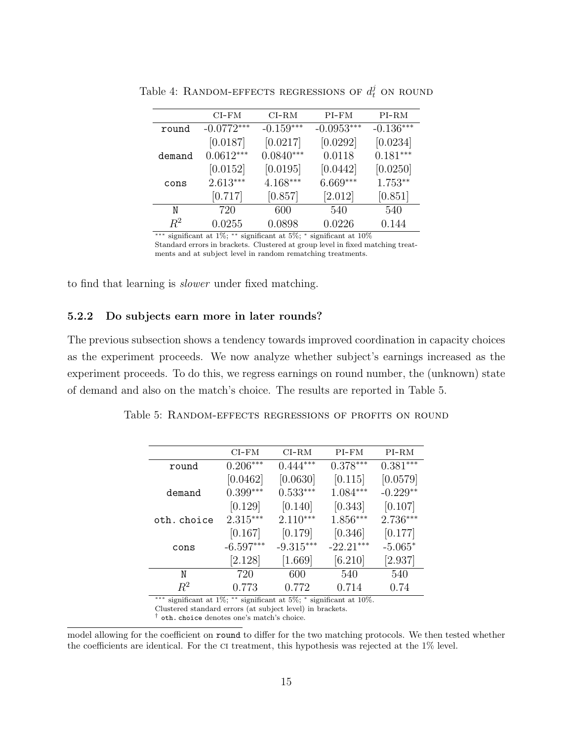|        | $CI-FM$      | $CI-RM$     | $PI-FM$      | $PI-RM$     |
|--------|--------------|-------------|--------------|-------------|
| round  | $-0.0772***$ | $-0.159***$ | $-0.0953***$ | $-0.136***$ |
|        | [0.0187]     | [0.0217]    | [0.0292]     | [0.0234]    |
| demand | $0.0612***$  | $0.0840***$ | 0.0118       | $0.181***$  |
|        | [0.0152]     | [0.0195]    | [0.0442]     | [0.0250]    |
| cons   | $2.613***$   | $4.168***$  | $6.669***$   | $1.753**$   |
|        | [0.717]      | [0.857]     | $[2.012]$    | [0.851]     |
| N      | 720          | 600         | 540          | 540         |
| $R^2$  | 0.0255       | 0.0898      | 0.0226       | 0.144       |

<span id="page-14-0"></span>Table 4: RANDOM-EFFECTS REGRESSIONS OF  $d_t^j$  on round

∗∗∗ significant at 1%; ∗∗ significant at 5%; <sup>∗</sup> significant at 10% Standard errors in brackets. Clustered at group level in fixed matching treatments and at subject level in random rematching treatments.

to find that learning is slower under fixed matching.

### 5.2.2 Do subjects earn more in later rounds?

The previous subsection shows a tendency towards improved coordination in capacity choices as the experiment proceeds. We now analyze whether subject's earnings increased as the experiment proceeds. To do this, we regress earnings on round number, the (unknown) state of demand and also on the match's choice. The results are reported in Table [5.](#page-14-1)

<span id="page-14-1"></span>Table 5: Random-effects regressions of profits on round

|            | $CI-FM$     | $CI-RM$     | $PI-FM$     | $PI-RM$    |
|------------|-------------|-------------|-------------|------------|
| round      | $0.206***$  | $0.444***$  | $0.378***$  | $0.381***$ |
|            | [0.0462]    | [0.0630]    | [0.115]     | [0.0579]   |
| demand     | $0.399***$  | $0.533***$  | $1.084***$  | $-0.229**$ |
|            | [0.129]     | [0.140]     | [0.343]     | [0.107]    |
| oth.choice | $2.315***$  | $2.110***$  | 1.856***    | $2.736***$ |
|            | [0.167]     | [0.179]     | [0.346]     | [0.177]    |
| cons       | $-6.597***$ | $-9.315***$ | $-22.21***$ | $-5.065*$  |
|            | [2.128]     | [1.669]     | [6.210]     | [2.937]    |
| N          | 720         | 600         | 540         | 540        |
| $R^2$      | 0.773       | 0.772       | 0.714       | 0.74       |

∗∗∗ significant at 1%; ∗∗ significant at 5%; <sup>∗</sup> significant at 10%.

Clustered standard errors (at subject level) in brackets.

† oth. choice denotes one's match's choice.

model allowing for the coefficient on round to differ for the two matching protocols. We then tested whether the coefficients are identical. For the ci treatment, this hypothesis was rejected at the 1% level.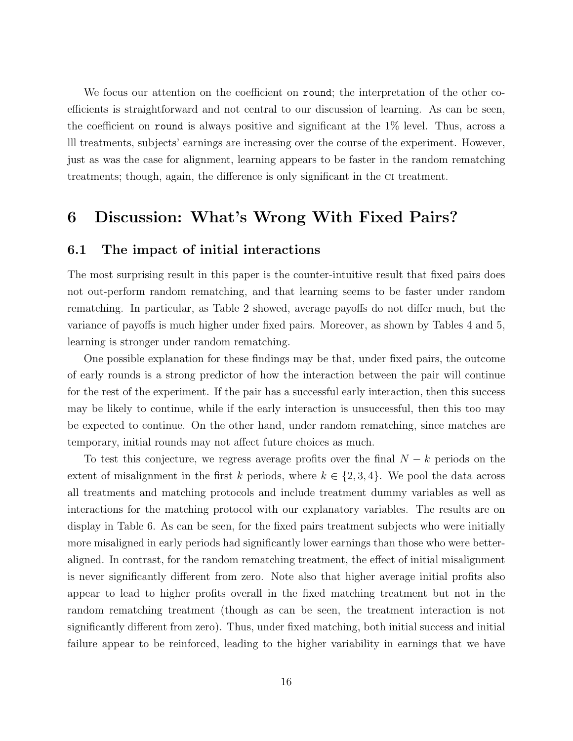We focus our attention on the coefficient on round; the interpretation of the other coefficients is straightforward and not central to our discussion of learning. As can be seen, the coefficient on round is always positive and significant at the 1% level. Thus, across a lll treatments, subjects' earnings are increasing over the course of the experiment. However, just as was the case for alignment, learning appears to be faster in the random rematching treatments; though, again, the difference is only significant in the ci treatment.

# <span id="page-15-0"></span>6 Discussion: What's Wrong With Fixed Pairs?

### 6.1 The impact of initial interactions

The most surprising result in this paper is the counter-intuitive result that fixed pairs does not out-perform random rematching, and that learning seems to be faster under random rematching. In particular, as Table [2](#page-11-0) showed, average payoffs do not differ much, but the variance of payoffs is much higher under fixed pairs. Moreover, as shown by Tables [4](#page-14-0) and [5,](#page-14-1) learning is stronger under random rematching.

One possible explanation for these findings may be that, under fixed pairs, the outcome of early rounds is a strong predictor of how the interaction between the pair will continue for the rest of the experiment. If the pair has a successful early interaction, then this success may be likely to continue, while if the early interaction is unsuccessful, then this too may be expected to continue. On the other hand, under random rematching, since matches are temporary, initial rounds may not affect future choices as much.

To test this conjecture, we regress average profits over the final  $N - k$  periods on the extent of misalignment in the first k periods, where  $k \in \{2, 3, 4\}$ . We pool the data across all treatments and matching protocols and include treatment dummy variables as well as interactions for the matching protocol with our explanatory variables. The results are on display in Table [6.](#page-16-0) As can be seen, for the fixed pairs treatment subjects who were initially more misaligned in early periods had significantly lower earnings than those who were betteraligned. In contrast, for the random rematching treatment, the effect of initial misalignment is never significantly different from zero. Note also that higher average initial profits also appear to lead to higher profits overall in the fixed matching treatment but not in the random rematching treatment (though as can be seen, the treatment interaction is not significantly different from zero). Thus, under fixed matching, both initial success and initial failure appear to be reinforced, leading to the higher variability in earnings that we have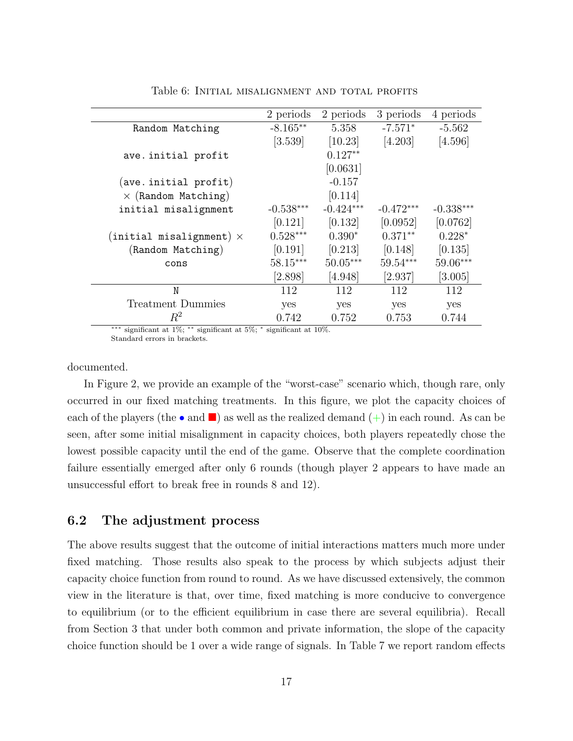<span id="page-16-0"></span>

|                                  | 2 periods   | 2 periods   | 3 periods   | 4 periods   |
|----------------------------------|-------------|-------------|-------------|-------------|
| Random Matching                  | $-8.165**$  | 5.358       | $-7.571*$   | $-5.562$    |
|                                  | [3.539]     | [10.23]     | [4.203]     | [4.596]     |
| ave. initial profit              |             | $0.127**$   |             |             |
|                                  |             | [0.0631]    |             |             |
| $(\texttt{ave. initial profit})$ |             | $-0.157$    |             |             |
| $\times$ (Random Matching)       |             | [0.114]     |             |             |
| initial misalignment             | $-0.538***$ | $-0.424***$ | $-0.472***$ | $-0.338***$ |
|                                  | [0.121]     | [0.132]     | [0.0952]    | [0.0762]    |
| (initial misalignment) $\times$  | $0.528***$  | $0.390*$    | $0.371**$   | $0.228*$    |
| (Random Matching)                | [0.191]     | [0.213]     | [0.148]     | [0.135]     |
| cons                             | $58.15***$  | $50.05***$  | $59.54***$  | 59.06***    |
|                                  | [2.898]     | [4.948]     | [2.937]     | $[3.005]$   |
| N                                | 112         | 112         | 112         | 112         |
| <b>Treatment Dummies</b>         | yes         | yes         | yes         | yes         |
| $\,R^2$                          | 0.742       | 0.752       | 0.753       | 0.744       |

Table 6: Initial misalignment and total profits

∗∗∗ significant at 1%; ∗∗ significant at 5%; <sup>∗</sup> significant at 10%. Standard errors in brackets.

documented.

In Figure [2,](#page-17-0) we provide an example of the "worst-case" scenario which, though rare, only occurred in our fixed matching treatments. In this figure, we plot the capacity choices of each of the players (the • and  $\Box$ ) as well as the realized demand (+) in each round. As can be seen, after some initial misalignment in capacity choices, both players repeatedly chose the lowest possible capacity until the end of the game. Observe that the complete coordination failure essentially emerged after only 6 rounds (though player 2 appears to have made an unsuccessful effort to break free in rounds 8 and 12).

### 6.2 The adjustment process

The above results suggest that the outcome of initial interactions matters much more under fixed matching. Those results also speak to the process by which subjects adjust their capacity choice function from round to round. As we have discussed extensively, the common view in the literature is that, over time, fixed matching is more conducive to convergence to equilibrium (or to the efficient equilibrium in case there are several equilibria). Recall from Section [3](#page-6-0) that under both common and private information, the slope of the capacity choice function should be 1 over a wide range of signals. In Table [7](#page-18-0) we report random effects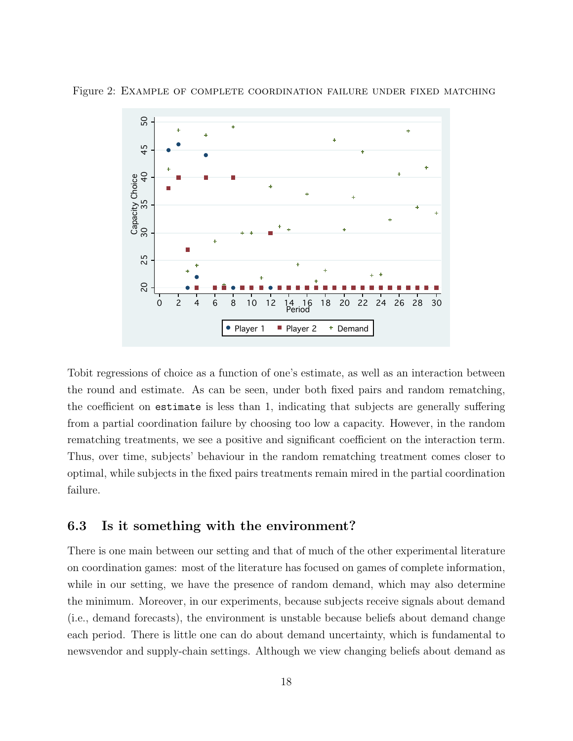

<span id="page-17-0"></span>Figure 2: Example of complete coordination failure under fixed matching

Tobit regressions of choice as a function of one's estimate, as well as an interaction between the round and estimate. As can be seen, under both fixed pairs and random rematching, the coefficient on estimate is less than 1, indicating that subjects are generally suffering from a partial coordination failure by choosing too low a capacity. However, in the random rematching treatments, we see a positive and significant coefficient on the interaction term. Thus, over time, subjects' behaviour in the random rematching treatment comes closer to optimal, while subjects in the fixed pairs treatments remain mired in the partial coordination failure.

### 6.3 Is it something with the environment?

There is one main between our setting and that of much of the other experimental literature on coordination games: most of the literature has focused on games of complete information, while in our setting, we have the presence of random demand, which may also determine the minimum. Moreover, in our experiments, because subjects receive signals about demand (i.e., demand forecasts), the environment is unstable because beliefs about demand change each period. There is little one can do about demand uncertainty, which is fundamental to newsvendor and supply-chain settings. Although we view changing beliefs about demand as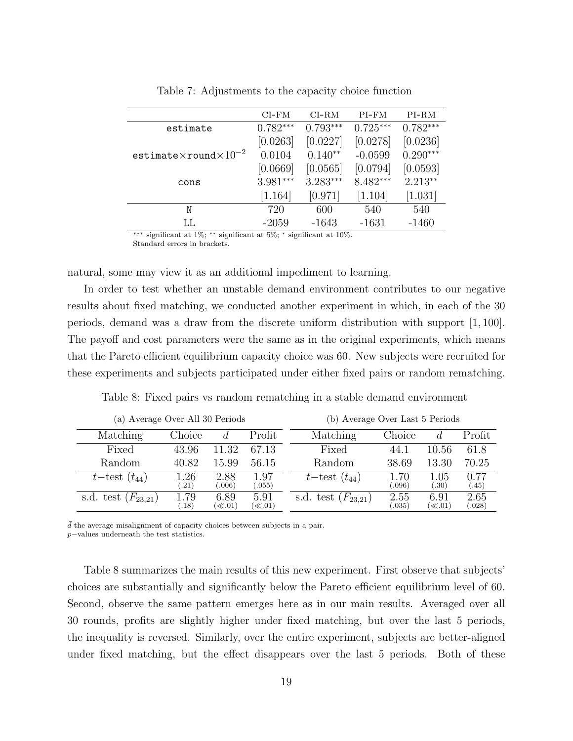<span id="page-18-0"></span>

|                                          | $CI-FM$    | $CI-RM$    | $PI-FM$    | PI-RM      |
|------------------------------------------|------------|------------|------------|------------|
| estimate                                 | $0.782***$ | $0.793***$ | $0.725***$ | $0.782***$ |
|                                          | [0.0263]   | [0.0227]   | [0.0278]   | [0.0236]   |
| estimate $\times$ round $\times 10^{-2}$ | 0.0104     | $0.140**$  | $-0.0599$  | $0.290***$ |
|                                          | [0.0669]   | [0.0565]   | [0.0794]   | [0.0593]   |
| cons                                     | $3.981***$ | $3.283***$ | $8.482***$ | $2.213**$  |
|                                          | [1.164]    | [0.971]    | [1.104]    | [1.031]    |
| N                                        | 720        | 600        | 540        | 540        |
| LL.                                      | $-2059$    | $-1643$    | $-1631$    | $-1460$    |

Table 7: Adjustments to the capacity choice function

∗∗∗ significant at 1%; ∗∗ significant at 5%; <sup>∗</sup> significant at 10%.

Standard errors in brackets.

natural, some may view it as an additional impediment to learning.

In order to test whether an unstable demand environment contributes to our negative results about fixed matching, we conducted another experiment in which, in each of the 30 periods, demand was a draw from the discrete uniform distribution with support [1, 100]. The payoff and cost parameters were the same as in the original experiments, which means that the Pareto efficient equilibrium capacity choice was 60. New subjects were recruited for these experiments and subjects participated under either fixed pairs or random rematching.

<span id="page-18-1"></span>

| (a) Average Over All 30 Periods |                  |                      |                                  | (b) Average Over Last 5 Periods |                |                    |                |
|---------------------------------|------------------|----------------------|----------------------------------|---------------------------------|----------------|--------------------|----------------|
| Matching                        | Choice           |                      | Profit                           | Matching                        | Choice         |                    | Profit         |
| Fixed                           | 43.96            | 11.32                | 67.13                            | Fixed                           | 44.1           | 10.56              | 61.8           |
| Random                          | 40.82            | 15.99                | 56.15                            | Random                          | 38.69          | 13.30              | 70.25          |
| $t$ – test $(t_{44})$           | $1.26\,$<br>.21) | 2.88<br>006)         | 1.97<br>(.055)                   | $t$ – test $(t_{44})$           | 1.70<br>0.096) | 1.05<br>(.30)      | 0.77<br>(.45)  |
| s.d. test $(F_{23.21})$         | 1.79<br>.18)     | 6.89<br>$(\ll 0.01)$ | 5.91<br>$\langle \ll 01 \rangle$ | s.d. test $(F_{23.21})$         | 2.55<br>(.035) | 6.91<br>$(\ll.01)$ | 2.65<br>(.028) |

Table 8: Fixed pairs vs random rematching in a stable demand environment

 $\overline{d}$  the average misalignment of capacity choices between subjects in a pair.

p−values underneath the test statistics.

Table [8](#page-18-1) summarizes the main results of this new experiment. First observe that subjects' choices are substantially and significantly below the Pareto efficient equilibrium level of 60. Second, observe the same pattern emerges here as in our main results. Averaged over all 30 rounds, profits are slightly higher under fixed matching, but over the last 5 periods, the inequality is reversed. Similarly, over the entire experiment, subjects are better-aligned under fixed matching, but the effect disappears over the last 5 periods. Both of these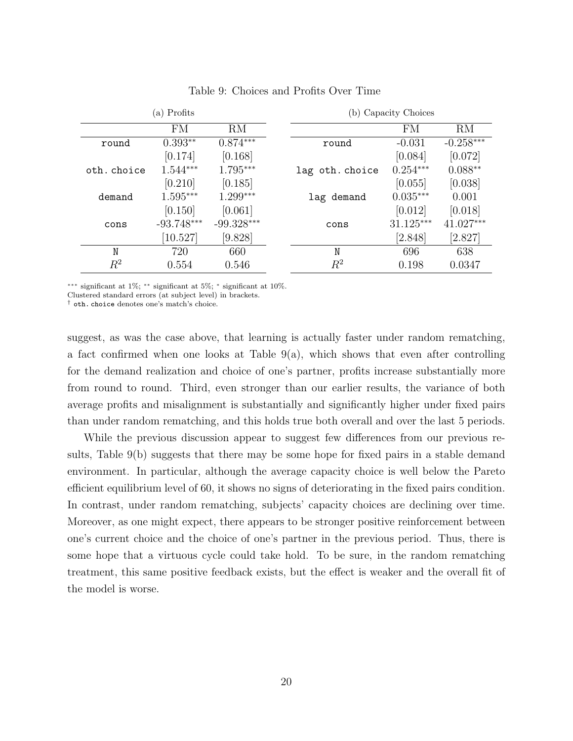<span id="page-19-0"></span>

|            | (a) Profits  |              | (b) Capacity Choices |             |             |
|------------|--------------|--------------|----------------------|-------------|-------------|
|            | FM           | RM           |                      | FM          | RM          |
| round      | $0.393**$    | $0.874***$   | round                | $-0.031$    | $-0.258***$ |
|            | [0.174]      | [0.168]      |                      | [0.084]     | [0.072]     |
| oth.choice | $1.544***$   | $1.795***$   | lag oth. choice      | $0.254***$  | $0.088**$   |
|            | [0.210]      | [0.185]      |                      | [0.055]     | [0.038]     |
| demand     | $1.595***$   | $1.299***$   | lag demand           | $0.035***$  | 0.001       |
|            | [0.150]      | [0.061]      |                      | [0.012]     | [0.018]     |
| cons       | $-93.748***$ | $-99.328***$ | cons                 | $31.125***$ | $41.027***$ |
|            | [10.527]     | [9.828]      |                      | [2.848]     | [2.827]     |
| N          | 720          | 660          | N                    | 696         | 638         |
| $\,R^2$    | 0.554        | 0.546        | $\,R^2$              | 0.198       | 0.0347      |

#### Table 9: Choices and Profits Over Time

∗∗∗ significant at 1%; ∗∗ significant at 5%; <sup>∗</sup> significant at 10%.

Clustered standard errors (at subject level) in brackets.

† oth. choice denotes one's match's choice.

suggest, as was the case above, that learning is actually faster under random rematching, a fact confirmed when one looks at Table  $9(a)$  $9(a)$ , which shows that even after controlling for the demand realization and choice of one's partner, profits increase substantially more from round to round. Third, even stronger than our earlier results, the variance of both average profits and misalignment is substantially and significantly higher under fixed pairs than under random rematching, and this holds true both overall and over the last 5 periods.

While the previous discussion appear to suggest few differences from our previous results, Table [9\(](#page-19-0)b) suggests that there may be some hope for fixed pairs in a stable demand environment. In particular, although the average capacity choice is well below the Pareto efficient equilibrium level of 60, it shows no signs of deteriorating in the fixed pairs condition. In contrast, under random rematching, subjects' capacity choices are declining over time. Moreover, as one might expect, there appears to be stronger positive reinforcement between one's current choice and the choice of one's partner in the previous period. Thus, there is some hope that a virtuous cycle could take hold. To be sure, in the random rematching treatment, this same positive feedback exists, but the effect is weaker and the overall fit of the model is worse.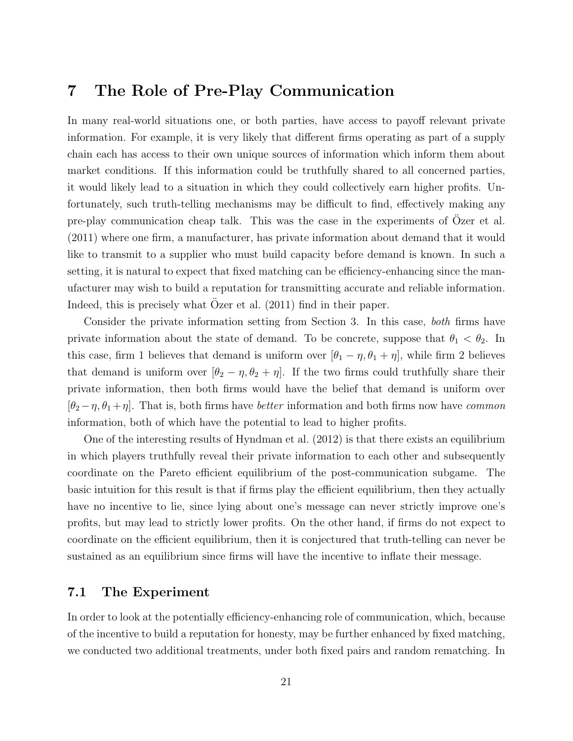# <span id="page-20-0"></span>7 The Role of Pre-Play Communication

In many real-world situations one, or both parties, have access to payoff relevant private information. For example, it is very likely that different firms operating as part of a supply chain each has access to their own unique sources of information which inform them about market conditions. If this information could be truthfully shared to all concerned parties, it would likely lead to a situation in which they could collectively earn higher profits. Unfortunately, such truth-telling mechanisms may be difficult to find, effectively making any pre-play communication cheap talk. This was the case in the experiments of Özer et al. [\(2011\)](#page-33-3) where one firm, a manufacturer, has private information about demand that it would like to transmit to a supplier who must build capacity before demand is known. In such a setting, it is natural to expect that fixed matching can be efficiency-enhancing since the manufacturer may wish to build a reputation for transmitting accurate and reliable information. Indeed, this is precisely what  $O$ zer et al.  $(2011)$  find in their paper.

Consider the private information setting from Section [3.](#page-6-0) In this case, *both* firms have private information about the state of demand. To be concrete, suppose that  $\theta_1 < \theta_2$ . In this case, firm 1 believes that demand is uniform over  $[\theta_1 - \eta, \theta_1 + \eta]$ , while firm 2 believes that demand is uniform over  $[\theta_2 - \eta, \theta_2 + \eta]$ . If the two firms could truthfully share their private information, then both firms would have the belief that demand is uniform over  $[\theta_2 - \eta, \theta_1 + \eta]$ . That is, both firms have *better* information and both firms now have *common* information, both of which have the potential to lead to higher profits.

One of the interesting results of [Hyndman et al.](#page-33-2) [\(2012\)](#page-33-2) is that there exists an equilibrium in which players truthfully reveal their private information to each other and subsequently coordinate on the Pareto efficient equilibrium of the post-communication subgame. The basic intuition for this result is that if firms play the efficient equilibrium, then they actually have no incentive to lie, since lying about one's message can never strictly improve one's profits, but may lead to strictly lower profits. On the other hand, if firms do not expect to coordinate on the efficient equilibrium, then it is conjectured that truth-telling can never be sustained as an equilibrium since firms will have the incentive to inflate their message.

### 7.1 The Experiment

In order to look at the potentially efficiency-enhancing role of communication, which, because of the incentive to build a reputation for honesty, may be further enhanced by fixed matching, we conducted two additional treatments, under both fixed pairs and random rematching. In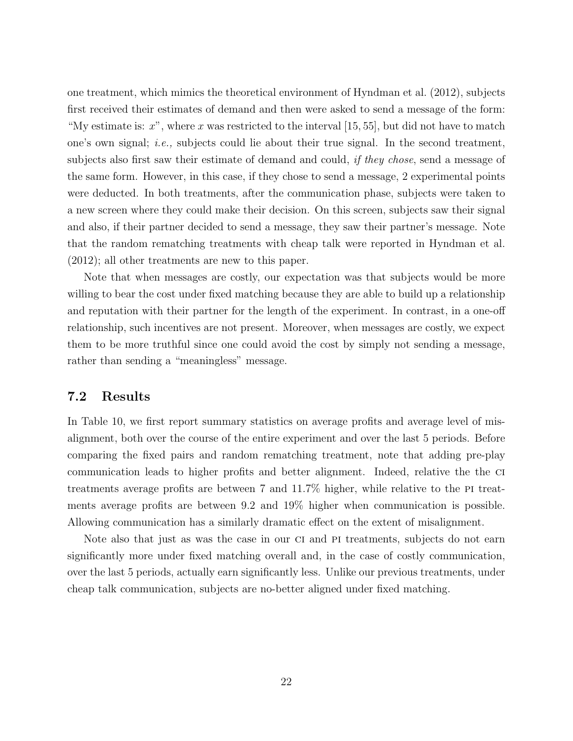one treatment, which mimics the theoretical environment of [Hyndman et al.](#page-33-2) [\(2012\)](#page-33-2), subjects first received their estimates of demand and then were asked to send a message of the form: "My estimate is: x", where x was restricted to the interval [15, 55], but did not have to match one's own signal; i.e., subjects could lie about their true signal. In the second treatment, subjects also first saw their estimate of demand and could, if they chose, send a message of the same form. However, in this case, if they chose to send a message, 2 experimental points were deducted. In both treatments, after the communication phase, subjects were taken to a new screen where they could make their decision. On this screen, subjects saw their signal and also, if their partner decided to send a message, they saw their partner's message. Note that the random rematching treatments with cheap talk were reported in [Hyndman et al.](#page-33-2) [\(2012\)](#page-33-2); all other treatments are new to this paper.

Note that when messages are costly, our expectation was that subjects would be more willing to bear the cost under fixed matching because they are able to build up a relationship and reputation with their partner for the length of the experiment. In contrast, in a one-off relationship, such incentives are not present. Moreover, when messages are costly, we expect them to be more truthful since one could avoid the cost by simply not sending a message, rather than sending a "meaningless" message.

### 7.2 Results

In Table [10,](#page-22-0) we first report summary statistics on average profits and average level of misalignment, both over the course of the entire experiment and over the last 5 periods. Before comparing the fixed pairs and random rematching treatment, note that adding pre-play communication leads to higher profits and better alignment. Indeed, relative the the ci treatments average profits are between 7 and 11.7% higher, while relative to the pi treatments average profits are between 9.2 and 19% higher when communication is possible. Allowing communication has a similarly dramatic effect on the extent of misalignment.

Note also that just as was the case in our ci and pi treatments, subjects do not earn significantly more under fixed matching overall and, in the case of costly communication, over the last 5 periods, actually earn significantly less. Unlike our previous treatments, under cheap talk communication, subjects are no-better aligned under fixed matching.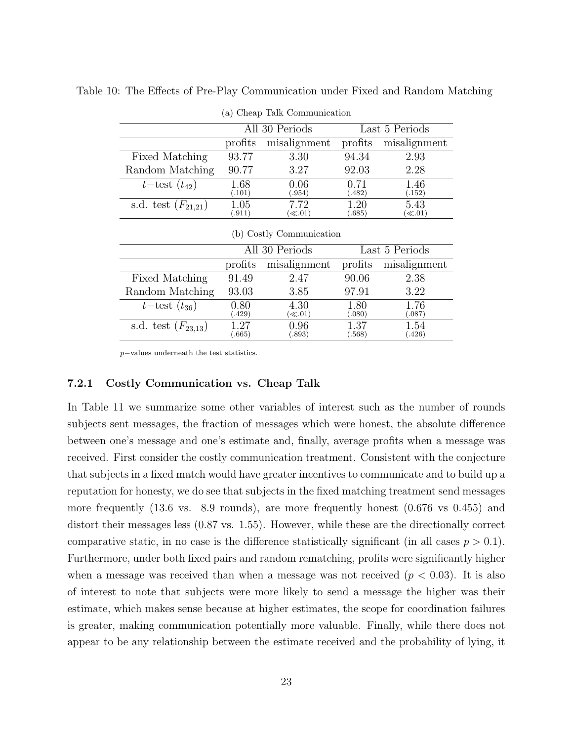|                          | (a) Cheap Talk Communication |                      |                |                    |  |  |
|--------------------------|------------------------------|----------------------|----------------|--------------------|--|--|
|                          | All 30 Periods               |                      | Last 5 Periods |                    |  |  |
|                          | profits                      | misalignment         | profits        | misalignment       |  |  |
| Fixed Matching           | 93.77                        | 3.30                 | 94.34          | 2.93               |  |  |
| Random Matching          | 90.77                        | 3.27                 | 92.03          | 2.28               |  |  |
| $t$ – test $(t_{42})$    | 1.68<br>(.101)               | 0.06<br>(.954)       | 0.71<br>(.482) | 1.46<br>(.152)     |  |  |
| s.d. test $(F_{21,21})$  | $1.05\,$<br>(.911)           | 7.72<br>$(\ll 0.01)$ | 1.20<br>(.685) | 5.43<br>$(\ll.01)$ |  |  |
| (b) Costly Communication |                              |                      |                |                    |  |  |
|                          | All 30 Periods               |                      | Last 5 Periods |                    |  |  |
|                          | profits                      | misalignment         | profits        | misalignment       |  |  |
| Fixed Matching           | 91.49                        | 2.47                 | 90.06          | 2.38               |  |  |
| Random Matching          | 93.03                        | 3.85                 | 97.91          | 3.22               |  |  |
| $t$ – test $(t_{36})$    | 0.80<br>(.429)               | 4.30<br>$(\ll 01)$   | 1.80<br>(.080) | 1.76<br>(.087)     |  |  |
| s.d. test $(F_{23,13})$  | 1.27<br>(.665)               | 0.96<br>(.893)       | 1.37<br>(.568) | 1.54<br>(.426)     |  |  |

<span id="page-22-0"></span>Table 10: The Effects of Pre-Play Communication under Fixed and Random Matching

p−values underneath the test statistics.

### 7.2.1 Costly Communication vs. Cheap Talk

In Table [11](#page-23-0) we summarize some other variables of interest such as the number of rounds subjects sent messages, the fraction of messages which were honest, the absolute difference between one's message and one's estimate and, finally, average profits when a message was received. First consider the costly communication treatment. Consistent with the conjecture that subjects in a fixed match would have greater incentives to communicate and to build up a reputation for honesty, we do see that subjects in the fixed matching treatment send messages more frequently (13.6 vs. 8.9 rounds), are more frequently honest (0.676 vs 0.455) and distort their messages less (0.87 vs. 1.55). However, while these are the directionally correct comparative static, in no case is the difference statistically significant (in all cases  $p > 0.1$ ). Furthermore, under both fixed pairs and random rematching, profits were significantly higher when a message was received than when a message was not received  $(p < 0.03)$ . It is also of interest to note that subjects were more likely to send a message the higher was their estimate, which makes sense because at higher estimates, the scope for coordination failures is greater, making communication potentially more valuable. Finally, while there does not appear to be any relationship between the estimate received and the probability of lying, it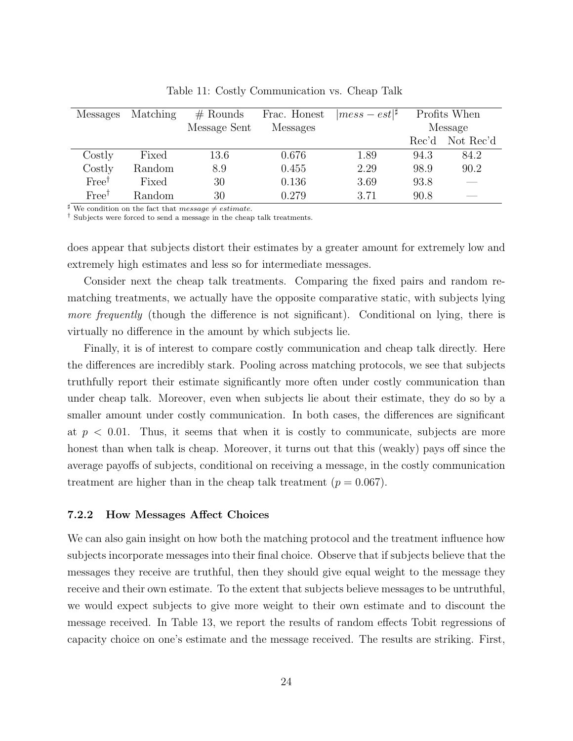<span id="page-23-0"></span>

| Messages         | Matching | $#$ Rounds   | Frac. Honest    | $\vert mess - est \vert^{\sharp}$ |       | Profits When             |
|------------------|----------|--------------|-----------------|-----------------------------------|-------|--------------------------|
|                  |          | Message Sent | <b>Messages</b> |                                   |       | Message                  |
|                  |          |              |                 |                                   | Rec'd | Not Rec'd                |
| Costly           | Fixed    | 13.6         | 0.676           | 1.89                              | 94.3  | 84.2                     |
| Costly           | Random   | 8.9          | 0.455           | 2.29                              | 98.9  | 90.2                     |
| $Free^{\dagger}$ | Fixed    | 30           | 0.136           | 3.69                              | 93.8  | $\overline{\phantom{a}}$ |
| $Free^{\dagger}$ | Random   | 30           | 0.279           | 3.71                              | 90.8  |                          |

Table 11: Costly Communication vs. Cheap Talk

 $\sharp$  We condition on the fact that message  $\neq$  estimate.

† Subjects were forced to send a message in the cheap talk treatments.

does appear that subjects distort their estimates by a greater amount for extremely low and extremely high estimates and less so for intermediate messages.

Consider next the cheap talk treatments. Comparing the fixed pairs and random rematching treatments, we actually have the opposite comparative static, with subjects lying more frequently (though the difference is not significant). Conditional on lying, there is virtually no difference in the amount by which subjects lie.

Finally, it is of interest to compare costly communication and cheap talk directly. Here the differences are incredibly stark. Pooling across matching protocols, we see that subjects truthfully report their estimate significantly more often under costly communication than under cheap talk. Moreover, even when subjects lie about their estimate, they do so by a smaller amount under costly communication. In both cases, the differences are significant at  $p < 0.01$ . Thus, it seems that when it is costly to communicate, subjects are more honest than when talk is cheap. Moreover, it turns out that this (weakly) pays off since the average payoffs of subjects, conditional on receiving a message, in the costly communication treatment are higher than in the cheap talk treatment  $(p = 0.067)$ .

### 7.2.2 How Messages Affect Choices

We can also gain insight on how both the matching protocol and the treatment influence how subjects incorporate messages into their final choice. Observe that if subjects believe that the messages they receive are truthful, then they should give equal weight to the message they receive and their own estimate. To the extent that subjects believe messages to be untruthful, we would expect subjects to give more weight to their own estimate and to discount the message received. In Table [13,](#page-25-0) we report the results of random effects Tobit regressions of capacity choice on one's estimate and the message received. The results are striking. First,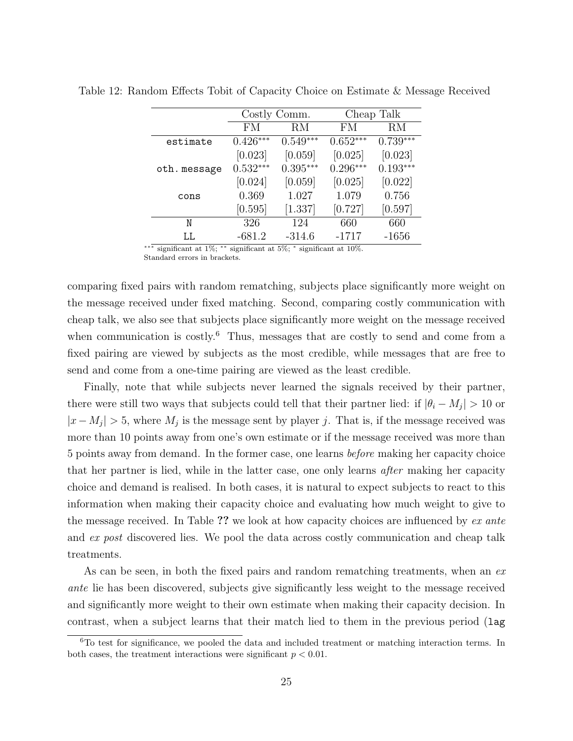|             |            | Costly Comm. | Cheap Talk |            |  |
|-------------|------------|--------------|------------|------------|--|
|             | FM         | RМ           | FM.        | RМ         |  |
| estimate    | $0.426***$ | $0.549***$   | $0.652***$ | $0.739***$ |  |
|             | [0.023]    | [0.059]      | [0.025]    | [0.023]    |  |
| oth.message | $0.532***$ | $0.395***$   | $0.296***$ | $0.193***$ |  |
|             | [0.024]    | [0.059]      | [0.025]    | [0.022]    |  |
| cons        | 0.369      | 1.027        | 1.079      | 0.756      |  |
|             | [0.595]    | [1.337]      | [0.727]    | [0.597]    |  |
| N           | 326        | 124          | 660        | 660        |  |
| LT.         | $-681.2$   | $-314.6$     | $-1717$    | $-1656$    |  |

Table 12: Random Effects Tobit of Capacity Choice on Estimate & Message Received

∗∗∗ significant at 1%; ∗∗ significant at 5%; <sup>∗</sup> significant at 10%.

Standard errors in brackets.

comparing fixed pairs with random rematching, subjects place significantly more weight on the message received under fixed matching. Second, comparing costly communication with cheap talk, we also see that subjects place significantly more weight on the message received when communication is costly.<sup>[6](#page-0-0)</sup> Thus, messages that are costly to send and come from a fixed pairing are viewed by subjects as the most credible, while messages that are free to send and come from a one-time pairing are viewed as the least credible.

Finally, note that while subjects never learned the signals received by their partner, there were still two ways that subjects could tell that their partner lied: if  $|\theta_i - M_j| > 10$  or  $|x - M_j| > 5$ , where  $M_j$  is the message sent by player j. That is, if the message received was more than 10 points away from one's own estimate or if the message received was more than 5 points away from demand. In the former case, one learns before making her capacity choice that her partner is lied, while in the latter case, one only learns after making her capacity choice and demand is realised. In both cases, it is natural to expect subjects to react to this information when making their capacity choice and evaluating how much weight to give to the message received. In Table ?? we look at how capacity choices are influenced by ex ante and ex post discovered lies. We pool the data across costly communication and cheap talk treatments.

As can be seen, in both the fixed pairs and random rematching treatments, when an  $ex$ ante lie has been discovered, subjects give significantly less weight to the message received and significantly more weight to their own estimate when making their capacity decision. In contrast, when a subject learns that their match lied to them in the previous period (lag

 ${}^{6}$ To test for significance, we pooled the data and included treatment or matching interaction terms. In both cases, the treatment interactions were significant  $p < 0.01$ .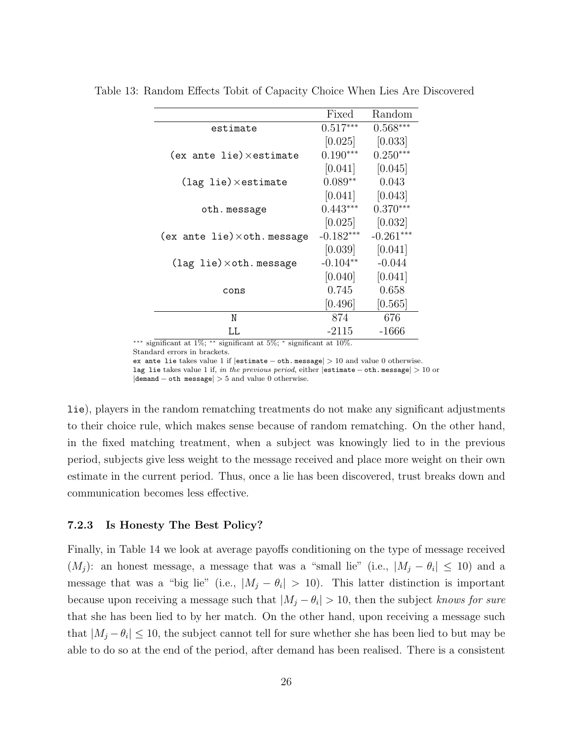|                                                | Fixed       | Random      |
|------------------------------------------------|-------------|-------------|
| estimate                                       | $0.517***$  | $0.568***$  |
|                                                | [0.025]     | [0.033]     |
| $(ex \text{ ante lie}) \times \text{estimate}$ | $0.190***$  | $0.250***$  |
|                                                | [0.041]     | [0.045]     |
| $(\text{lag lie}) \times \text{estimate}$      | $0.089**$   | 0.043       |
|                                                | [0.041]     | [0.043]     |
| oth.message                                    | $0.443***$  | $0.370***$  |
|                                                | [0.025]     | [0.032]     |
| $(ex$ ante lie) $\times$ oth. message          | $-0.182***$ | $-0.261***$ |
|                                                | [0.039]     | [0.041]     |
| $(\text{lag lie}) \times \text{oth}$ . message | $-0.104**$  | $-0.044$    |
|                                                | [0.040]     | [0.041]     |
| cons                                           | 0.745       | 0.658       |
|                                                | [0.496]     | [0.565]     |
| N                                              | 874         | 676         |
| LT.                                            | -2115       | -1666       |

<span id="page-25-0"></span>Table 13: Random Effects Tobit of Capacity Choice When Lies Are Discovered

∗∗∗ significant at 1%; ∗∗ significant at 5%; <sup>∗</sup> significant at 10%.

Standard errors in brackets.

ex ante lie takes value 1 if |estimate − oth. message| > 10 and value 0 otherwise. lag lie takes value 1 if, in the previous period, either |estimate − oth. message| > 10 or |demand − oth message| > 5 and value 0 otherwise.

lie), players in the random rematching treatments do not make any significant adjustments to their choice rule, which makes sense because of random rematching. On the other hand, in the fixed matching treatment, when a subject was knowingly lied to in the previous period, subjects give less weight to the message received and place more weight on their own estimate in the current period. Thus, once a lie has been discovered, trust breaks down and communication becomes less effective.

### 7.2.3 Is Honesty The Best Policy?

Finally, in Table [14](#page-26-1) we look at average payoffs conditioning on the type of message received  $(M_j)$ : an honest message, a message that was a "small lie" (i.e.,  $|M_j - \theta_i| \leq 10$ ) and a message that was a "big lie" (i.e.,  $|M_j - \theta_i| > 10$ ). This latter distinction is important because upon receiving a message such that  $|M_j - \theta_i| > 10$ , then the subject knows for sure that she has been lied to by her match. On the other hand, upon receiving a message such that  $|M_j - \theta_i| \leq 10$ , the subject cannot tell for sure whether she has been lied to but may be able to do so at the end of the period, after demand has been realised. There is a consistent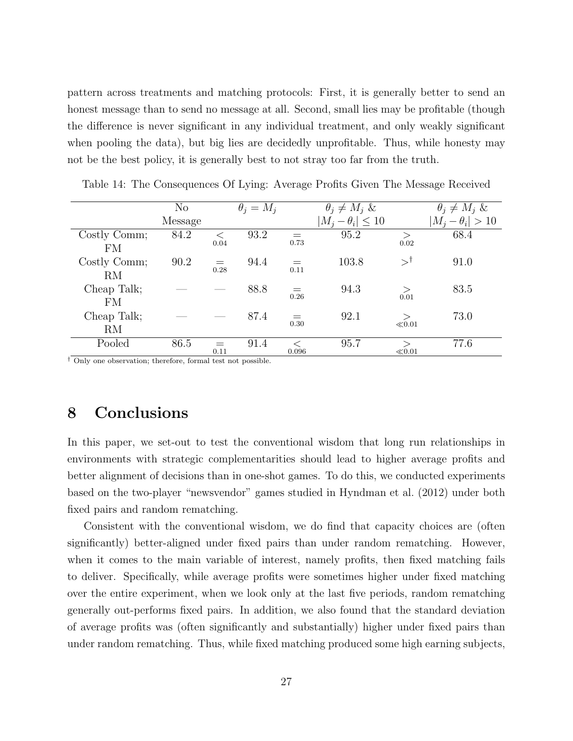pattern across treatments and matching protocols: First, it is generally better to send an honest message than to send no message at all. Second, small lies may be profitable (though the difference is never significant in any individual treatment, and only weakly significant when pooling the data), but big lies are decidedly unprofitable. Thus, while honesty may not be the best policy, it is generally best to not stray too far from the truth.

|                           | N <sub>o</sub> |      | $\theta_i = M_i$ |             | $\theta_j \neq M_j$ &      |                 | $\theta_j \neq M_j$ &   |
|---------------------------|----------------|------|------------------|-------------|----------------------------|-----------------|-------------------------|
|                           | Message        |      |                  |             | $ M_i - \theta_i  \leq 10$ |                 | $ M_i - \theta_i  > 10$ |
| Costly Comm;<br><b>FM</b> | 84.2           | 0.04 | 93.2             | $=$<br>0.73 | 95.2                       | $\geq$<br>0.02  | 68.4                    |
| Costly Comm;<br>RM        | 90.2           | 0.28 | 94.4             | 0.11        | 103.8                      | $>^{\dagger}$   | 91.0                    |
| Cheap Talk;<br><b>FM</b>  |                |      | 88.8             | 0.26        | 94.3                       | 0.01            | 83.5                    |
| Cheap Talk;<br>RM         |                |      | 87.4             | 0.30        | 92.1                       | ↘<br>$\ll 0.01$ | 73.0                    |
| Pooled                    | 86.5           | 0.11 | 91.4             | 0.096       | 95.7                       | $\ll 0.01$      | 77.6                    |

<span id="page-26-1"></span>Table 14: The Consequences Of Lying: Average Profits Given The Message Received

† Only one observation; therefore, formal test not possible.

# <span id="page-26-0"></span>8 Conclusions

In this paper, we set-out to test the conventional wisdom that long run relationships in environments with strategic complementarities should lead to higher average profits and better alignment of decisions than in one-shot games. To do this, we conducted experiments based on the two-player "newsvendor" games studied in [Hyndman et al.](#page-33-2) [\(2012\)](#page-33-2) under both fixed pairs and random rematching.

Consistent with the conventional wisdom, we do find that capacity choices are (often significantly) better-aligned under fixed pairs than under random rematching. However, when it comes to the main variable of interest, namely profits, then fixed matching fails to deliver. Specifically, while average profits were sometimes higher under fixed matching over the entire experiment, when we look only at the last five periods, random rematching generally out-performs fixed pairs. In addition, we also found that the standard deviation of average profits was (often significantly and substantially) higher under fixed pairs than under random rematching. Thus, while fixed matching produced some high earning subjects,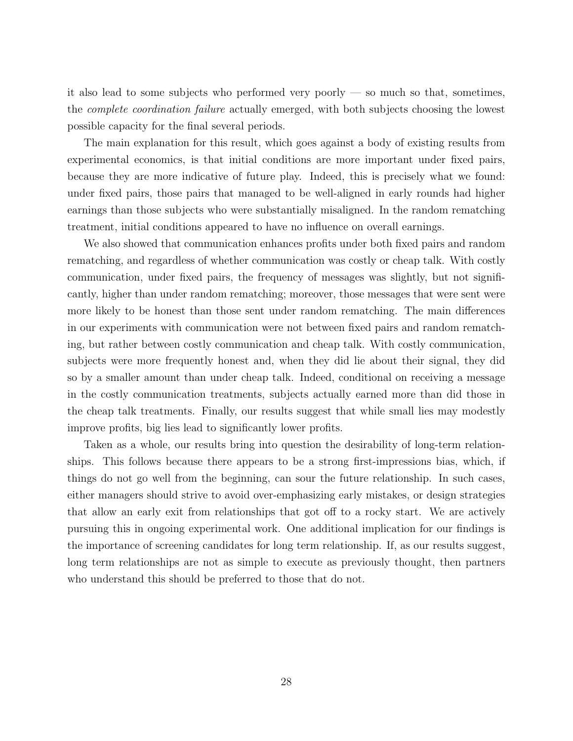it also lead to some subjects who performed very poorly — so much so that, sometimes, the complete coordination failure actually emerged, with both subjects choosing the lowest possible capacity for the final several periods.

The main explanation for this result, which goes against a body of existing results from experimental economics, is that initial conditions are more important under fixed pairs, because they are more indicative of future play. Indeed, this is precisely what we found: under fixed pairs, those pairs that managed to be well-aligned in early rounds had higher earnings than those subjects who were substantially misaligned. In the random rematching treatment, initial conditions appeared to have no influence on overall earnings.

We also showed that communication enhances profits under both fixed pairs and random rematching, and regardless of whether communication was costly or cheap talk. With costly communication, under fixed pairs, the frequency of messages was slightly, but not significantly, higher than under random rematching; moreover, those messages that were sent were more likely to be honest than those sent under random rematching. The main differences in our experiments with communication were not between fixed pairs and random rematching, but rather between costly communication and cheap talk. With costly communication, subjects were more frequently honest and, when they did lie about their signal, they did so by a smaller amount than under cheap talk. Indeed, conditional on receiving a message in the costly communication treatments, subjects actually earned more than did those in the cheap talk treatments. Finally, our results suggest that while small lies may modestly improve profits, big lies lead to significantly lower profits.

Taken as a whole, our results bring into question the desirability of long-term relationships. This follows because there appears to be a strong first-impressions bias, which, if things do not go well from the beginning, can sour the future relationship. In such cases, either managers should strive to avoid over-emphasizing early mistakes, or design strategies that allow an early exit from relationships that got off to a rocky start. We are actively pursuing this in ongoing experimental work. One additional implication for our findings is the importance of screening candidates for long term relationship. If, as our results suggest, long term relationships are not as simple to execute as previously thought, then partners who understand this should be preferred to those that do not.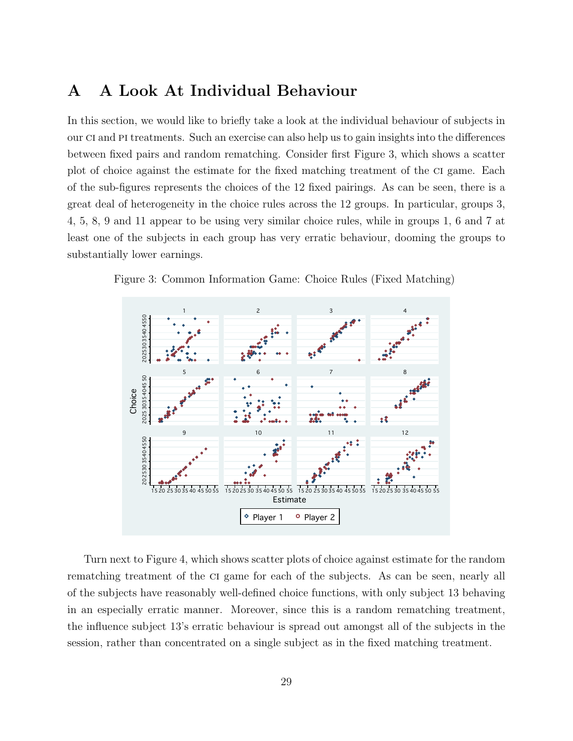# <span id="page-28-0"></span>A A Look At Individual Behaviour

In this section, we would like to briefly take a look at the individual behaviour of subjects in our ci and pi treatments. Such an exercise can also help us to gain insights into the differences between fixed pairs and random rematching. Consider first Figure [3,](#page-28-1) which shows a scatter plot of choice against the estimate for the fixed matching treatment of the ci game. Each of the sub-figures represents the choices of the 12 fixed pairings. As can be seen, there is a great deal of heterogeneity in the choice rules across the 12 groups. In particular, groups 3, 4, 5, 8, 9 and 11 appear to be using very similar choice rules, while in groups 1, 6 and 7 at least one of the subjects in each group has very erratic behaviour, dooming the groups to substantially lower earnings.

<span id="page-28-1"></span>



Turn next to Figure [4,](#page-29-0) which shows scatter plots of choice against estimate for the random rematching treatment of the CI game for each of the subjects. As can be seen, nearly all of the subjects have reasonably well-defined choice functions, with only subject 13 behaving in an especially erratic manner. Moreover, since this is a random rematching treatment, the influence subject 13's erratic behaviour is spread out amongst all of the subjects in the session, rather than concentrated on a single subject as in the fixed matching treatment.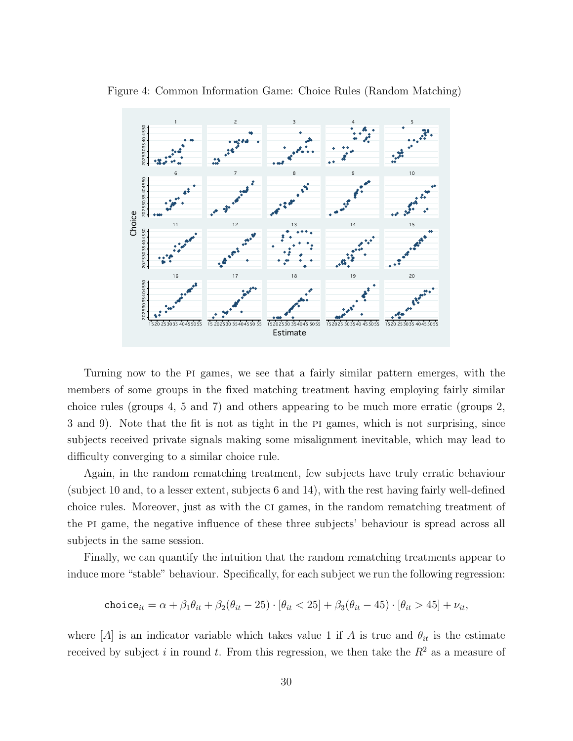

<span id="page-29-0"></span>Figure 4: Common Information Game: Choice Rules (Random Matching)

Turning now to the pi games, we see that a fairly similar pattern emerges, with the members of some groups in the fixed matching treatment having employing fairly similar choice rules (groups 4, 5 and 7) and others appearing to be much more erratic (groups 2, 3 and 9). Note that the fit is not as tight in the pi games, which is not surprising, since subjects received private signals making some misalignment inevitable, which may lead to difficulty converging to a similar choice rule.

Again, in the random rematching treatment, few subjects have truly erratic behaviour (subject 10 and, to a lesser extent, subjects 6 and 14), with the rest having fairly well-defined choice rules. Moreover, just as with the ci games, in the random rematching treatment of the pi game, the negative influence of these three subjects' behaviour is spread across all subjects in the same session.

Finally, we can quantify the intuition that the random rematching treatments appear to induce more "stable" behaviour. Specifically, for each subject we run the following regression:

$$
\texttt{choice}_{it} = \alpha + \beta_1 \theta_{it} + \beta_2 (\theta_{it} - 25) \cdot [\theta_{it} < 25] + \beta_3 (\theta_{it} - 45) \cdot [\theta_{it} > 45] + \nu_{it},
$$

where [A] is an indicator variable which takes value 1 if A is true and  $\theta_{it}$  is the estimate received by subject i in round t. From this regression, we then take the  $R^2$  as a measure of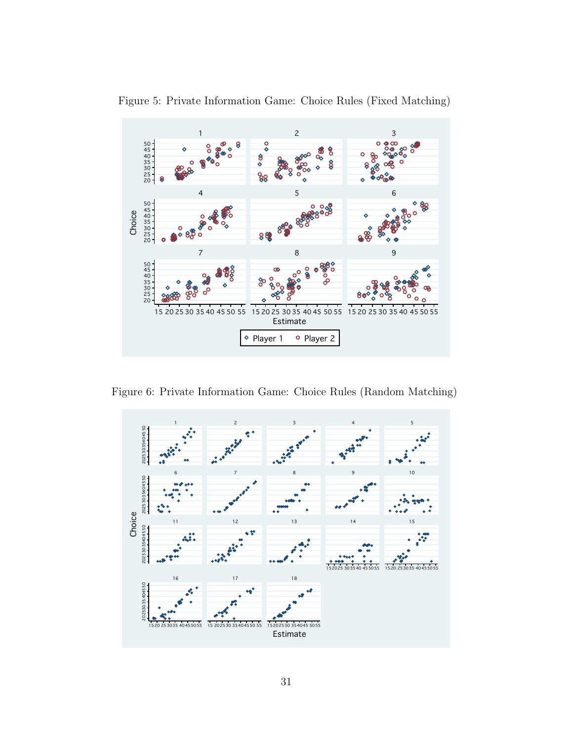

Figure 5: Private Information Game: Choice Rules (Fixed Matching)

Figure 6: Private Information Game: Choice Rules (Random Matching)

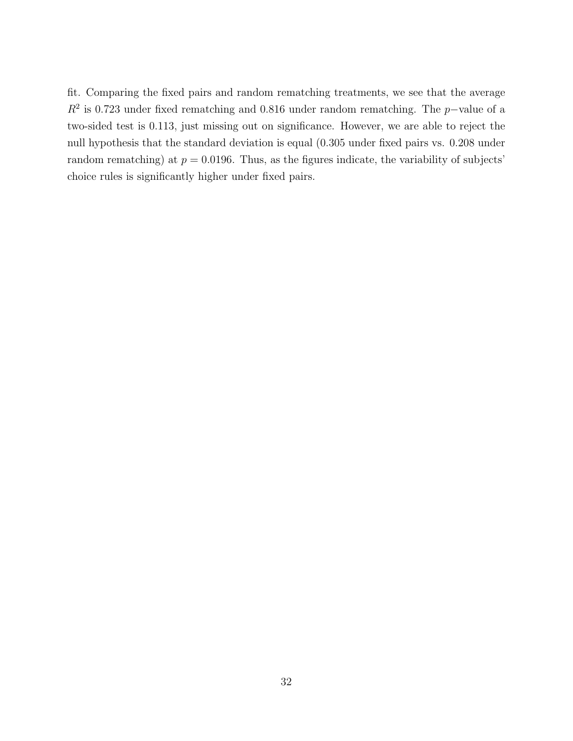fit. Comparing the fixed pairs and random rematching treatments, we see that the average  $R<sup>2</sup>$  is 0.723 under fixed rematching and 0.816 under random rematching. The p-value of a two-sided test is 0.113, just missing out on significance. However, we are able to reject the null hypothesis that the standard deviation is equal (0.305 under fixed pairs vs. 0.208 under random rematching) at  $p = 0.0196$ . Thus, as the figures indicate, the variability of subjects' choice rules is significantly higher under fixed pairs.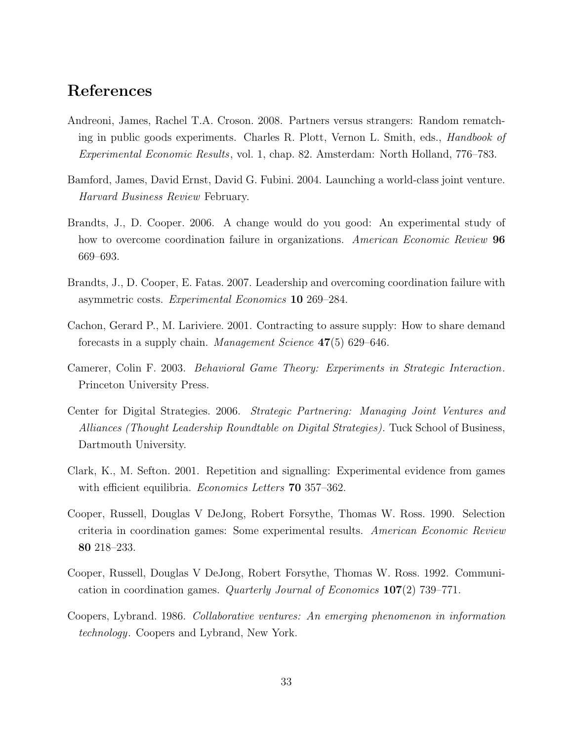# References

- <span id="page-32-10"></span>Andreoni, James, Rachel T.A. Croson. 2008. Partners versus strangers: Random rematching in public goods experiments. Charles R. Plott, Vernon L. Smith, eds., Handbook of Experimental Economic Results, vol. 1, chap. 82. Amsterdam: North Holland, 776–783.
- <span id="page-32-2"></span>Bamford, James, David Ernst, David G. Fubini. 2004. Launching a world-class joint venture. Harvard Business Review February.
- <span id="page-32-9"></span>Brandts, J., D. Cooper. 2006. A change would do you good: An experimental study of how to overcome coordination failure in organizations. American Economic Review 96 669–693.
- <span id="page-32-8"></span>Brandts, J., D. Cooper, E. Fatas. 2007. Leadership and overcoming coordination failure with asymmetric costs. Experimental Economics 10 269–284.
- <span id="page-32-0"></span>Cachon, Gerard P., M. Lariviere. 2001. Contracting to assure supply: How to share demand forecasts in a supply chain. Management Science 47(5) 629–646.
- <span id="page-32-7"></span>Camerer, Colin F. 2003. Behavioral Game Theory: Experiments in Strategic Interaction. Princeton University Press.
- <span id="page-32-3"></span>Center for Digital Strategies. 2006. Strategic Partnering: Managing Joint Ventures and Alliances (Thought Leadership Roundtable on Digital Strategies). Tuck School of Business, Dartmouth University.
- <span id="page-32-6"></span>Clark, K., M. Sefton. 2001. Repetition and signalling: Experimental evidence from games with efficient equilibria. *Economics Letters* **70** 357–362.
- <span id="page-32-4"></span>Cooper, Russell, Douglas V DeJong, Robert Forsythe, Thomas W. Ross. 1990. Selection criteria in coordination games: Some experimental results. American Economic Review 80 218–233.
- <span id="page-32-5"></span>Cooper, Russell, Douglas V DeJong, Robert Forsythe, Thomas W. Ross. 1992. Communication in coordination games. Quarterly Journal of Economics  $107(2)$  739–771.
- <span id="page-32-1"></span>Coopers, Lybrand. 1986. Collaborative ventures: An emerging phenomenon in information technology. Coopers and Lybrand, New York.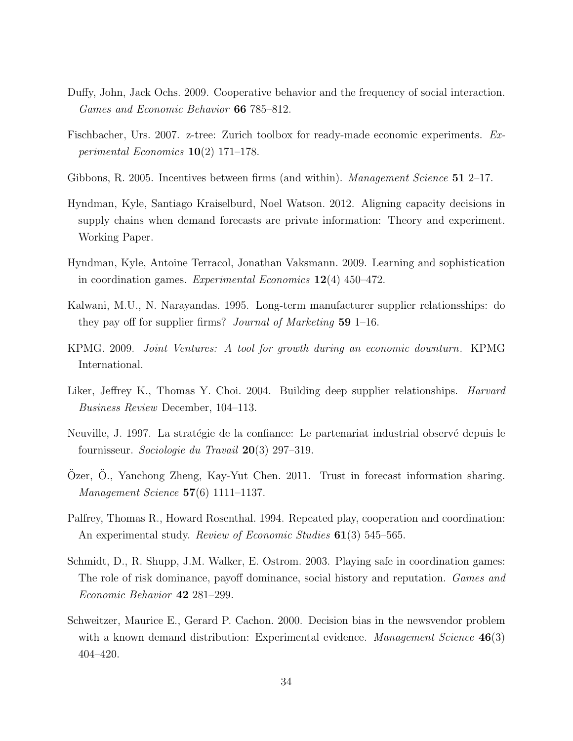- <span id="page-33-9"></span>Duffy, John, Jack Ochs. 2009. Cooperative behavior and the frequency of social interaction. Games and Economic Behavior 66 785–812.
- <span id="page-33-12"></span>Fischbacher, Urs. 2007. z-tree: Zurich toolbox for ready-made economic experiments. Experimental Economics 10(2) 171–178.
- <span id="page-33-1"></span>Gibbons, R. 2005. Incentives between firms (and within). Management Science 51 2–17.
- <span id="page-33-2"></span>Hyndman, Kyle, Santiago Kraiselburd, Noel Watson. 2012. Aligning capacity decisions in supply chains when demand forecasts are private information: Theory and experiment. Working Paper.
- <span id="page-33-8"></span>Hyndman, Kyle, Antoine Terracol, Jonathan Vaksmann. 2009. Learning and sophistication in coordination games. Experimental Economics  $12(4)$  450–472.
- <span id="page-33-4"></span>Kalwani, M.U., N. Narayandas. 1995. Long-term manufacturer supplier relationsships: do they pay off for supplier firms? Journal of Marketing 59 1–16.
- <span id="page-33-6"></span>KPMG. 2009. Joint Ventures: A tool for growth during an economic downturn. KPMG International.
- <span id="page-33-0"></span>Liker, Jeffrey K., Thomas Y. Choi. 2004. Building deep supplier relationships. *Harvard* Business Review December, 104–113.
- <span id="page-33-5"></span>Neuville, J. 1997. La stratégie de la confiance: Le partenariat industrial observé depuis le fournisseur. Sociologie du Travail 20(3) 297–319.
- <span id="page-33-3"></span>Ozer, O., Yanchong Zheng, Kay-Yut Chen. 2011. Trust in forecast information sharing. Management Science 57(6) 1111–1137.
- <span id="page-33-10"></span>Palfrey, Thomas R., Howard Rosenthal. 1994. Repeated play, cooperation and coordination: An experimental study. *Review of Economic Studies* **61**(3) 545–565.
- <span id="page-33-7"></span>Schmidt, D., R. Shupp, J.M. Walker, E. Ostrom. 2003. Playing safe in coordination games: The role of risk dominance, payoff dominance, social history and reputation. *Games and* Economic Behavior 42 281–299.
- <span id="page-33-11"></span>Schweitzer, Maurice E., Gerard P. Cachon. 2000. Decision bias in the newsvendor problem with a known demand distribution: Experimental evidence. *Management Science*  $46(3)$ 404–420.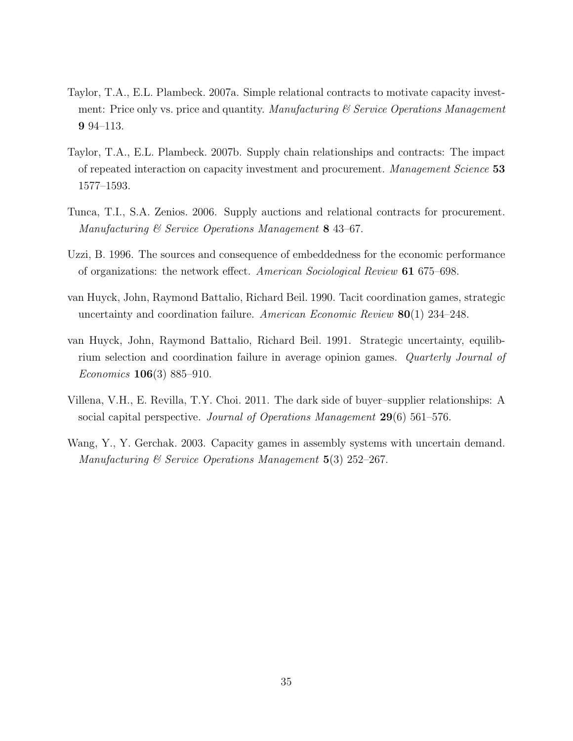- <span id="page-34-1"></span>Taylor, T.A., E.L. Plambeck. 2007a. Simple relational contracts to motivate capacity investment: Price only vs. price and quantity. Manufacturing  $\mathscr C$  Service Operations Management 9 94–113.
- <span id="page-34-0"></span>Taylor, T.A., E.L. Plambeck. 2007b. Supply chain relationships and contracts: The impact of repeated interaction on capacity investment and procurement. Management Science 53 1577–1593.
- <span id="page-34-2"></span>Tunca, T.I., S.A. Zenios. 2006. Supply auctions and relational contracts for procurement. Manufacturing & Service Operations Management 8 43–67.
- <span id="page-34-4"></span>Uzzi, B. 1996. The sources and consequence of embeddedness for the economic performance of organizations: the network effect. American Sociological Review 61 675–698.
- <span id="page-34-7"></span>van Huyck, John, Raymond Battalio, Richard Beil. 1990. Tacit coordination games, strategic uncertainty and coordination failure. American Economic Review  $80(1)$  234–248.
- <span id="page-34-6"></span>van Huyck, John, Raymond Battalio, Richard Beil. 1991. Strategic uncertainty, equilibrium selection and coordination failure in average opinion games. Quarterly Journal of Economics 106(3) 885–910.
- <span id="page-34-5"></span>Villena, V.H., E. Revilla, T.Y. Choi. 2011. The dark side of buyer–supplier relationships: A social capital perspective. Journal of Operations Management 29(6) 561–576.
- <span id="page-34-3"></span>Wang, Y., Y. Gerchak. 2003. Capacity games in assembly systems with uncertain demand. Manufacturing  $\mathcal C$  Service Operations Management 5(3) 252–267.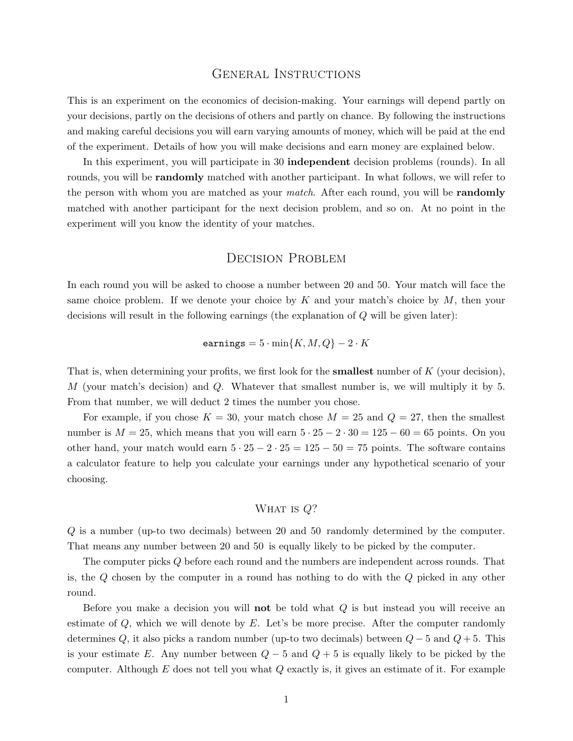### General Instructions

This is an experiment on the economics of decision-making. Your earnings will depend partly on your decisions, partly on the decisions of others and partly on chance. By following the instructions and making careful decisions you will earn varying amounts of money, which will be paid at the end of the experiment. Details of how you will make decisions and earn money are explained below.

In this experiment, you will participate in 30 independent decision problems (rounds). In all rounds, you will be **randomly** matched with another participant. In what follows, we will refer to the person with whom you are matched as your *match*. After each round, you will be **randomly** matched with another participant for the next decision problem, and so on. At no point in the experiment will you know the identity of your matches.

### Decision Problem

In each round you will be asked to choose a number between 20 and 50. Your match will face the same choice problem. If we denote your choice by K and your match's choice by  $M$ , then your decisions will result in the following earnings (the explanation of Q will be given later):

$$
earnings = 5 \cdot \min\{K, M, Q\} - 2 \cdot K
$$

That is, when determining your profits, we first look for the **smallest** number of  $K$  (your decision), M (your match's decision) and Q. Whatever that smallest number is, we will multiply it by 5. From that number, we will deduct 2 times the number you chose.

For example, if you chose  $K = 30$ , your match chose  $M = 25$  and  $Q = 27$ , then the smallest number is  $M = 25$ , which means that you will earn  $5 \cdot 25 - 2 \cdot 30 = 125 - 60 = 65$  points. On you other hand, your match would earn  $5 \cdot 25 - 2 \cdot 25 = 125 - 50 = 75$  points. The software contains a calculator feature to help you calculate your earnings under any hypothetical scenario of your choosing.

### WHAT IS  $Q$ ?

Q is a number (up-to two decimals) between 20 and 50 randomly determined by the computer. That means any number between 20 and 50 is equally likely to be picked by the computer.

The computer picks Q before each round and the numbers are independent across rounds. That is, the Q chosen by the computer in a round has nothing to do with the Q picked in any other round.

Before you make a decision you will not be told what  $Q$  is but instead you will receive an estimate of  $Q$ , which we will denote by  $E$ . Let's be more precise. After the computer randomly determines Q, it also picks a random number (up-to two decimals) between  $Q - 5$  and  $Q + 5$ . This is your estimate E. Any number between  $Q-5$  and  $Q+5$  is equally likely to be picked by the computer. Although  $E$  does not tell you what  $Q$  exactly is, it gives an estimate of it. For example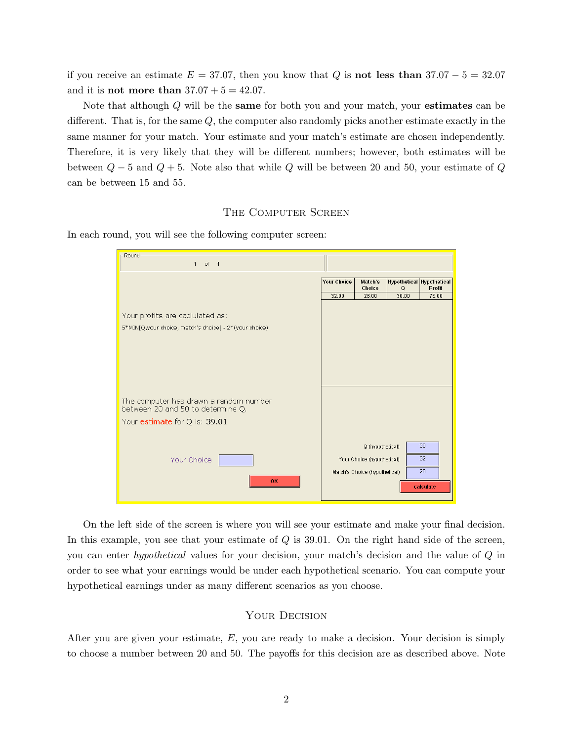if you receive an estimate  $E = 37.07$ , then you know that Q is **not less than**  $37.07 - 5 = 32.07$ and it is **not more than**  $37.07 + 5 = 42.07$ .

Note that although Q will be the same for both you and your match, your estimates can be different. That is, for the same Q, the computer also randomly picks another estimate exactly in the same manner for your match. Your estimate and your match's estimate are chosen independently. Therefore, it is very likely that they will be different numbers; however, both estimates will be between  $Q-5$  and  $Q+5$ . Note also that while Q will be between 20 and 50, your estimate of Q can be between 15 and 55.

#### The Computer Screen

In each round, you will see the following computer screen:

| Round                                                                       |                    |                               |                                          |           |
|-----------------------------------------------------------------------------|--------------------|-------------------------------|------------------------------------------|-----------|
| $of -1$<br>$\mathbf{1}$                                                     |                    |                               |                                          |           |
|                                                                             | <b>Your Choice</b> | Match's<br>Choice             | Hypothetical Hypothetical<br>$\mathbf Q$ | Profit    |
|                                                                             | 32.00              | 28.00                         | 30.00                                    | 76.00     |
|                                                                             |                    |                               |                                          |           |
| Your profits are caclulated as:                                             |                    |                               |                                          |           |
| 5*MIN[Q,your choice, match's choice] - 2*(your choice)                      |                    |                               |                                          |           |
|                                                                             |                    |                               |                                          |           |
|                                                                             |                    |                               |                                          |           |
|                                                                             |                    |                               |                                          |           |
|                                                                             |                    |                               |                                          |           |
|                                                                             |                    |                               |                                          |           |
|                                                                             |                    |                               |                                          |           |
| The computer has drawn a random number<br>between 20 and 50 to determine Q. |                    |                               |                                          |           |
| Your estimate for Q is: 39.01                                               |                    |                               |                                          |           |
|                                                                             |                    |                               |                                          |           |
|                                                                             |                    | Q (hypothetical)              |                                          | 30        |
| Your Choice                                                                 |                    | Your Choice (hypothetical)    |                                          | 32        |
|                                                                             |                    |                               |                                          | 28        |
| OK                                                                          |                    | Match's Choice (hypothetical) |                                          |           |
|                                                                             |                    |                               |                                          | calculate |
|                                                                             |                    |                               |                                          |           |

On the left side of the screen is where you will see your estimate and make your final decision. In this example, you see that your estimate of Q is 39.01. On the right hand side of the screen, you can enter hypothetical values for your decision, your match's decision and the value of Q in order to see what your earnings would be under each hypothetical scenario. You can compute your hypothetical earnings under as many different scenarios as you choose.

### YOUR DECISION

After you are given your estimate,  $E$ , you are ready to make a decision. Your decision is simply to choose a number between 20 and 50. The payoffs for this decision are as described above. Note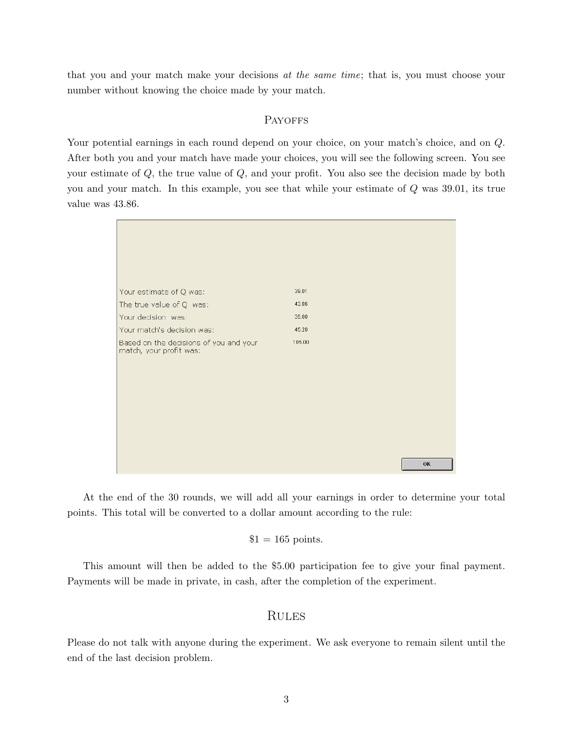that you and your match make your decisions at the same time; that is, you must choose your number without knowing the choice made by your match.

#### **PAYOFFS**

Your potential earnings in each round depend on your choice, on your match's choice, and on  $Q$ . After both you and your match have made your choices, you will see the following screen. You see your estimate of  $Q$ , the true value of  $Q$ , and your profit. You also see the decision made by both you and your match. In this example, you see that while your estimate of Q was 39.01, its true value was 43.86.

| Your estimate of Q was:                                           | 39.01  |    |
|-------------------------------------------------------------------|--------|----|
| The true value of Q was:                                          | 43.86  |    |
| Your decision was:                                                | 35.00  |    |
| Your match's decision was:                                        | 45.20  |    |
| Based on the decisions of you and your<br>match, your profit was: | 105.00 |    |
|                                                                   |        |    |
|                                                                   |        |    |
|                                                                   |        |    |
|                                                                   |        |    |
|                                                                   |        |    |
|                                                                   |        |    |
|                                                                   |        |    |
|                                                                   |        |    |
|                                                                   |        | OK |

At the end of the 30 rounds, we will add all your earnings in order to determine your total points. This total will be converted to a dollar amount according to the rule:

### $$1 = 165$  points.

This amount will then be added to the \$5.00 participation fee to give your final payment. Payments will be made in private, in cash, after the completion of the experiment.

### **RULES**

Please do not talk with anyone during the experiment. We ask everyone to remain silent until the end of the last decision problem.